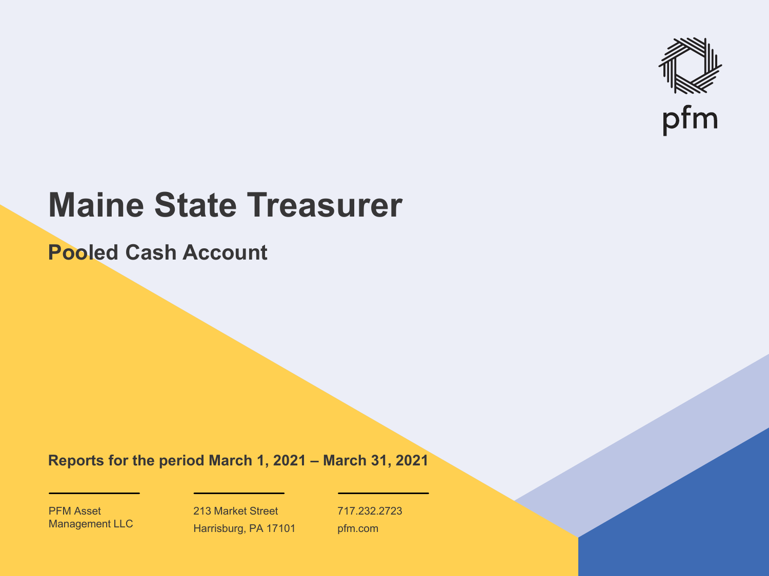

# **Maine State Treasurer**

**Pooled Cash Account**

**Reports for the period March 1, 2021 – March 31, 2021**

PFM Asset Management LLC

213 Market Street Harrisburg, PA 17101 717.232.2723 pfm.com

 $\mathcal{P}_\text{max}$  and  $\mathcal{P}_\text{max}$  is the probability of  $\mathcal{P}_\text{max}$  and  $\mathcal{P}_\text{max}$  and  $\mathcal{P}_\text{max}$  and  $\mathcal{P}_\text{max}$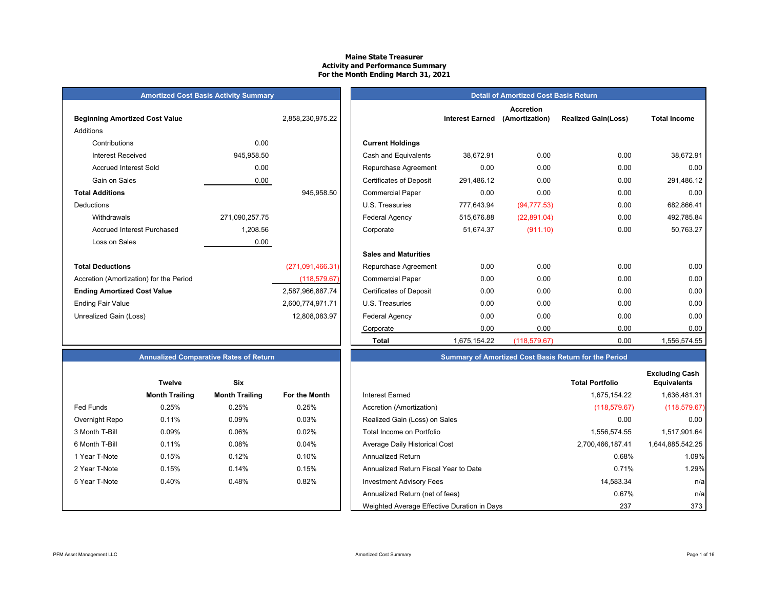#### **Maine State Treasurer Activity and Performance Summary For the Month Ending March 31, 2021**

### **Amortized Cost Basis Activity Summary Detail of Amortized Cost Basis Returnal Amortized Cost Basis Returnal Amortized Cost Basis Returnal Amortized Cost Basis Returnal Amortized Cost Basis Returnal Amortized Cost Basis**

| <b>Beginning Amortized Cost Value</b>   |                | 2,858,230,975.22 | <b>Interest Earned</b>                       |
|-----------------------------------------|----------------|------------------|----------------------------------------------|
| Additions                               |                |                  |                                              |
| Contributions                           | 0.00           |                  | <b>Current Holdings</b>                      |
| <b>Interest Received</b>                | 945,958.50     |                  | Cash and Equivalents<br>38,672.91            |
| <b>Accrued Interest Sold</b>            | 0.00           |                  | 0.00<br>Repurchase Agreement                 |
| Gain on Sales                           | 0.00           |                  | <b>Certificates of Deposit</b><br>291,486.12 |
| <b>Total Additions</b>                  |                | 945,958.50       | 0.00<br><b>Commercial Paper</b>              |
| <b>Deductions</b>                       |                |                  | U.S. Treasuries<br>777,643.94                |
| Withdrawals                             | 271,090,257.75 |                  | Federal Agency<br>515,676.88                 |
| <b>Accrued Interest Purchased</b>       | 1,208.56       |                  | 51,674.37<br>Corporate                       |
| Loss on Sales                           | 0.00           |                  |                                              |
|                                         |                |                  | <b>Sales and Maturities</b>                  |
| <b>Total Deductions</b>                 |                | (271,091,466.31) | 0.00<br>Repurchase Agreement                 |
| Accretion (Amortization) for the Period |                | (118, 579.67)    | 0.00<br><b>Commercial Paper</b>              |
| <b>Ending Amortized Cost Value</b>      |                | 2,587,966,887.74 | <b>Certificates of Deposit</b><br>0.00       |
| <b>Ending Fair Value</b>                |                | 2,600,774,971.71 | 0.00<br>U.S. Treasuries                      |
| Unrealized Gain (Loss)                  |                | 12,808,083.97    | 0.00<br>Federal Agency                       |
|                                         |                |                  | $\sim$ $\sim$ $\sim$                         |

|                                         | $\frac{1}{2}$ and the case of state $\frac{1}{2}$ and $\frac{1}{2}$ and $\frac{1}{2}$ |                  |                                |                        | $\frac{1}{2}$                      |                            |                     |
|-----------------------------------------|---------------------------------------------------------------------------------------|------------------|--------------------------------|------------------------|------------------------------------|----------------------------|---------------------|
| <b>Beginning Amortized Cost Value</b>   |                                                                                       | 2,858,230,975.22 |                                | <b>Interest Earned</b> | <b>Accretion</b><br>(Amortization) | <b>Realized Gain(Loss)</b> | <b>Total Income</b> |
| Additions                               |                                                                                       |                  |                                |                        |                                    |                            |                     |
| Contributions                           | 0.00                                                                                  |                  | <b>Current Holdings</b>        |                        |                                    |                            |                     |
| <b>Interest Received</b>                | 945,958.50                                                                            |                  | Cash and Equivalents           | 38,672.91              | 0.00                               | 0.00                       | 38,672.91           |
| <b>Accrued Interest Sold</b>            | 0.00                                                                                  |                  | Repurchase Agreement           | 0.00                   | 0.00                               | 0.00                       | 0.00                |
| Gain on Sales                           | 0.00                                                                                  |                  | <b>Certificates of Deposit</b> | 291,486.12             | 0.00                               | 0.00                       | 291,486.12          |
| <b>Total Additions</b>                  |                                                                                       | 945,958.50       | <b>Commercial Paper</b>        | 0.00                   | 0.00                               | 0.00                       | 0.00                |
| Deductions                              |                                                                                       |                  | U.S. Treasuries                | 777,643.94             | (94, 777.53)                       | 0.00                       | 682,866.41          |
| Withdrawals                             | 271,090,257.75                                                                        |                  | Federal Agency                 | 515,676.88             | (22, 891.04)                       | 0.00                       | 492,785.84          |
| <b>Accrued Interest Purchased</b>       | 1,208.56                                                                              |                  | Corporate                      | 51,674.37              | (911.10)                           | 0.00                       | 50,763.27           |
| Loss on Sales                           | 0.00                                                                                  |                  |                                |                        |                                    |                            |                     |
|                                         |                                                                                       |                  | <b>Sales and Maturities</b>    |                        |                                    |                            |                     |
| <b>Total Deductions</b>                 |                                                                                       | (271,091,466.31) | Repurchase Agreement           | 0.00                   | 0.00                               | 0.00                       | 0.00                |
| Accretion (Amortization) for the Period |                                                                                       | (118, 579.67)    | <b>Commercial Paper</b>        | 0.00                   | 0.00                               | 0.00                       | 0.00                |
| <b>Ending Amortized Cost Value</b>      |                                                                                       | 2,587,966,887.74 | <b>Certificates of Deposit</b> | 0.00                   | 0.00                               | 0.00                       | 0.00                |
| Ending Fair Value                       |                                                                                       | 2,600,774,971.71 | U.S. Treasuries                | 0.00                   | 0.00                               | 0.00                       | 0.00                |
| Unrealized Gain (Loss)                  |                                                                                       | 12,808,083.97    | Federal Agency                 | 0.00                   | 0.00                               | 0.00                       | 0.00                |
|                                         |                                                                                       |                  | Corporate                      | 0.00                   | 0.00                               | 0.00                       | 0.00                |
|                                         |                                                                                       |                  | <b>Total</b>                   | 1,675,154.22           | (118, 579.67)                      | 0.00                       | 1,556,574.55        |

### **Annualized Comparative Rates of Return Summary of Amortized Cost Basis Return for the Period**

|                | <b>Twelve</b>         | Six                   |               |                                             | <b>Total Portfolio</b> |
|----------------|-----------------------|-----------------------|---------------|---------------------------------------------|------------------------|
|                | <b>Month Trailing</b> | <b>Month Trailing</b> | For the Month | Interest Earned                             | 1,675,154.22           |
| Fed Funds      | 0.25%                 | 0.25%                 | 0.25%         | Accretion (Amortization)                    | (118, 579.67)          |
| Overnight Repo | 0.11%                 | 0.09%                 | 0.03%         | Realized Gain (Loss) on Sales               | 0.00                   |
| 3 Month T-Bill | 0.09%                 | 0.06%                 | 0.02%         | Total Income on Portfolio                   | 1,556,574.55           |
| 6 Month T-Bill | 0.11%                 | 0.08%                 | 0.04%         | Average Daily Historical Cost               | 2,700,466,187.41       |
| 1 Year T-Note  | 0.15%                 | 0.12%                 | 0.10%         | <b>Annualized Return</b>                    | 0.68%                  |
| 2 Year T-Note  | 0.15%                 | 0.14%                 | 0.15%         | Annualized Return Fiscal Year to Date       | 0.71%                  |
| 5 Year T-Note  | 0.40%                 | 0.48%                 | 0.82%         | <b>Investment Advisory Fees</b>             | 14,583.34              |
|                |                       |                       |               | Annualized Return (net of fees)             | 0.67%                  |
|                |                       |                       |               | Weighted Average Effective Duration in Days | 237                    |

|                | <b>Twelve</b>         | Six                   |                      |
|----------------|-----------------------|-----------------------|----------------------|
|                | <b>Month Trailing</b> | <b>Month Trailing</b> | <b>For the Month</b> |
| Fed Funds      | 0.25%                 | 0.25%                 | 0.25%                |
| Overnight Repo | 0.11%                 | 0.09%                 | 0.03%                |
| 3 Month T-Bill | 0.09%                 | 0.06%                 | 0.02%                |
| 6 Month T-Bill | 0.11%                 | 0.08%                 | 0.04%                |
| 1 Year T-Note  | 0.15%                 | 0.12%                 | 0.10%                |
| 2 Year T-Note  | 0.15%                 | 0.14%                 | 0.15%                |
| 5 Year T-Note  | 0.40%                 | 0.48%                 | 0.82%                |
|                |                       |                       |                      |
|                |                       |                       |                      |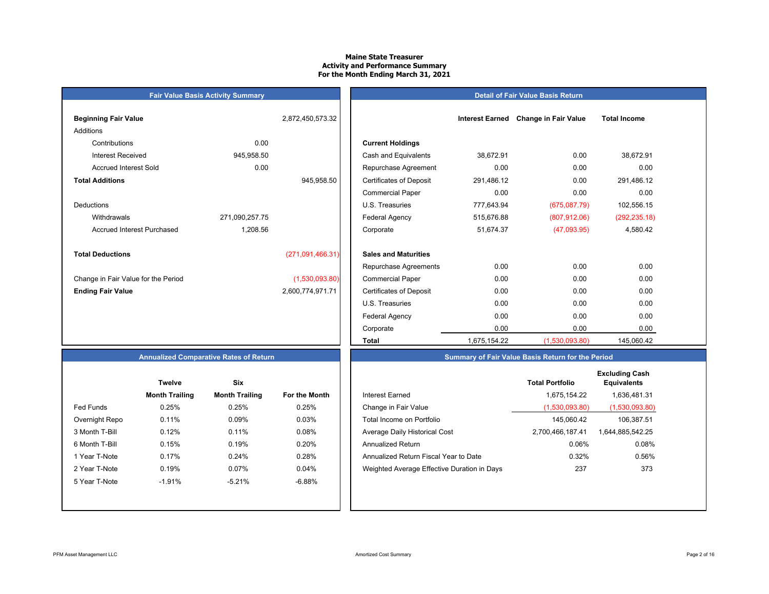### **Maine State TreasurerActivity and Performance Summary For the Month Ending March 31, 2021**

### **Fair Value Basis Activity Summary Beginning Fair Value 1.2.332 <b>Interest Earned Earned Earned Earned Earned Earned 2,872,450,573.32** Additions Contributions 0.00Accrued Interest Sold 0.00 **Total Additions**DeductionsAccrued Interest Purchased 1,208.56 **Total Deductions** $(271,091,466.31)$ Change in Fair Value for the Period (1,530,093.80) **Ending Fair Value** 2,600,774,971.71

| ning Fair Value                 |                | 2,872,450,573.32 |                                | <b>Interest Earned</b> | <b>Change in Fair Value</b> | <b>Total Income</b> |
|---------------------------------|----------------|------------------|--------------------------------|------------------------|-----------------------------|---------------------|
| ons                             |                |                  |                                |                        |                             |                     |
| Contributions                   | 0.00           |                  | <b>Current Holdings</b>        |                        |                             |                     |
| Interest Received               | 945,958.50     |                  | Cash and Equivalents           | 38,672.91              | 0.00                        | 38,672.91           |
| Accrued Interest Sold           | 0.00           |                  | Repurchase Agreement           | 0.00                   | 0.00                        | 0.00                |
| <b>Additions</b>                |                | 945,958.50       | <b>Certificates of Deposit</b> | 291,486.12             | 0.00                        | 291,486.12          |
|                                 |                |                  | <b>Commercial Paper</b>        | 0.00                   | 0.00                        | 0.00                |
| ctions                          |                |                  | U.S. Treasuries                | 777,643.94             | (675,087.79)                | 102,556.15          |
| Withdrawals                     | 271,090,257.75 |                  | Federal Agency                 | 515,676.88             | (807, 912.06)               | (292, 235.18)       |
| Accrued Interest Purchased      | 1,208.56       |                  | Corporate                      | 51,674.37              | (47,093.95)                 | 4,580.42            |
| <b>Deductions</b>               |                | (271,091,466.31) | <b>Sales and Maturities</b>    |                        |                             |                     |
|                                 |                |                  | Repurchase Agreements          | 0.00                   | 0.00                        | 0.00                |
| ge in Fair Value for the Period |                | (1,530,093.80)   | <b>Commercial Paper</b>        | 0.00                   | 0.00                        | 0.00                |
| ıg Fair Value                   |                | 2,600,774,971.71 | <b>Certificates of Deposit</b> | 0.00                   | 0.00                        | 0.00                |
|                                 |                |                  | U.S. Treasuries                | 0.00                   | 0.00                        | 0.00                |
|                                 |                |                  | Federal Agency                 | 0.00                   | 0.00                        | 0.00                |
|                                 |                |                  | Corporate                      | 0.00                   | 0.00                        | 0.00                |
|                                 |                |                  | <b>Total</b>                   | 1,675,154.22           | (1,530,093.80)              | 145,060.42          |

**Detail of Fair Value Basis Return**

### **Annualized Comparative Rates of Return**

|                | <b>Twelve</b>         | Six                   |                      |
|----------------|-----------------------|-----------------------|----------------------|
|                | <b>Month Trailing</b> | <b>Month Trailing</b> | <b>For the Month</b> |
| Fed Funds      | 0.25%                 | 0.25%                 | 0.25%                |
| Overnight Repo | 0.11%                 | 0.09%                 | 0.03%                |
| 3 Month T-Bill | 0.12%                 | 0.11%                 | 0.08%                |
| 6 Month T-Bill | 0.15%                 | 0.19%                 | 0.20%                |
| 1 Year T-Note  | 0.17%                 | 0.24%                 | 0.28%                |
| 2 Year T-Note  | 0.19%                 | 0.07%                 | 0.04%                |
| 5 Year T-Note  | $-1.91%$              | $-5.21%$              | $-6.88%$             |
|                |                       |                       |                      |
|                |                       |                       |                      |

|                | <b>Twelve</b>         | <b>Six</b>            |               |                                             | <b>Total Portfolio</b> | <b>Excluding Cash</b><br><b>Equivalents</b> |
|----------------|-----------------------|-----------------------|---------------|---------------------------------------------|------------------------|---------------------------------------------|
|                | <b>Month Trailing</b> | <b>Month Trailing</b> | For the Month | Interest Earned                             | 1,675,154.22           | 1,636,481.31                                |
| Fed Funds      | 0.25%                 | 0.25%                 | 0.25%         | Change in Fair Value                        | (1,530,093.80)         | (1,530,093.80)                              |
| Overnight Repo | 0.11%                 | 0.09%                 | 0.03%         | Total Income on Portfolio                   | 145.060.42             | 106,387.51                                  |
| 3 Month T-Bill | 0.12%                 | 0.11%                 | 0.08%         | Average Daily Historical Cost               | 2,700,466,187.41       | 1,644,885,542.25                            |
| 6 Month T-Bill | 0.15%                 | 0.19%                 | 0.20%         | <b>Annualized Return</b>                    | 0.06%                  | 0.08%                                       |
| 1 Year T-Note  | 0.17%                 | 0.24%                 | 0.28%         | Annualized Return Fiscal Year to Date       | 0.32%                  | 0.56%                                       |
| 2 Year T-Note  | 0.19%                 | 0.07%                 | 0.04%         | Weighted Average Effective Duration in Days | 237                    | 373                                         |
| 5 Year T-Note  | $-1.91%$              | $-5.21%$              | -6.88%        |                                             |                        |                                             |
|                |                       |                       |               |                                             |                        |                                             |

**Summary of Fair Value Basis Return for the Period**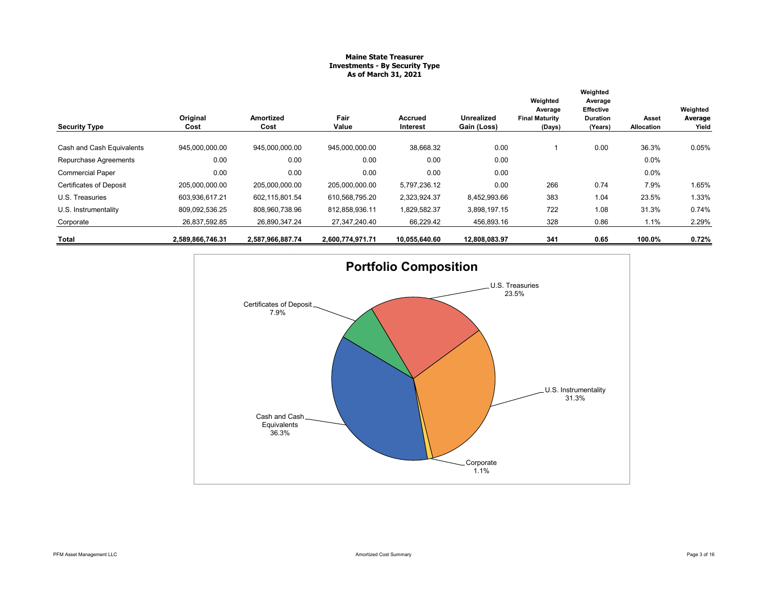### **Maine State Treasurer Investments - By Security Type As of March 31, 2021**

|                                |                  |                   |                  |                     |                                  | Weighted<br>Average             | Weighted<br>Average<br><b>Effective</b> |                     | Weighted         |
|--------------------------------|------------------|-------------------|------------------|---------------------|----------------------------------|---------------------------------|-----------------------------------------|---------------------|------------------|
| <b>Security Type</b>           | Original<br>Cost | Amortized<br>Cost | Fair<br>Value    | Accrued<br>Interest | <b>Unrealized</b><br>Gain (Loss) | <b>Final Maturity</b><br>(Days) | <b>Duration</b><br>(Years)              | Asset<br>Allocation | Average<br>Yield |
| Cash and Cash Equivalents      | 945,000,000.00   | 945,000,000.00    | 945,000,000.00   | 38,668.32           | 0.00                             |                                 | 0.00                                    | 36.3%               | 0.05%            |
| Repurchase Agreements          | 0.00             | 0.00              | 0.00             | 0.00                | 0.00                             |                                 |                                         | 0.0%                |                  |
| <b>Commercial Paper</b>        | 0.00             | 0.00              | 0.00             | 0.00                | 0.00                             |                                 |                                         | 0.0%                |                  |
| <b>Certificates of Deposit</b> | 205,000,000.00   | 205,000,000.00    | 205,000,000.00   | 5,797,236.12        | 0.00                             | 266                             | 0.74                                    | 7.9%                | 1.65%            |
| U.S. Treasuries                | 603,936,617.21   | 602,115,801.54    | 610,568,795.20   | 2,323,924.37        | 8,452,993.66                     | 383                             | 1.04                                    | 23.5%               | 1.33%            |
| U.S. Instrumentality           | 809,092,536.25   | 808,960,738.96    | 812,858,936.11   | 1,829,582.37        | 3,898,197.15                     | 722                             | 1.08                                    | 31.3%               | 0.74%            |
| Corporate                      | 26,837,592.85    | 26,890,347.24     | 27,347,240.40    | 66,229.42           | 456,893.16                       | 328                             | 0.86                                    | 1.1%                | 2.29%            |
| Total                          | 2,589,866,746.31 | 2,587,966,887.74  | 2,600,774,971.71 | 10,055,640.60       | 12,808,083.97                    | 341                             | 0.65                                    | 100.0%              | 0.72%            |

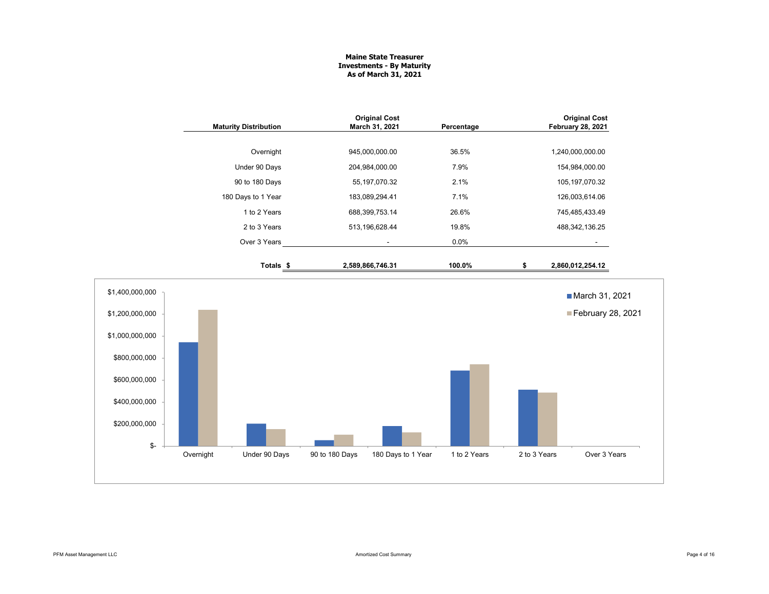### **Maine State Treasurer Investments - By Maturity As of March 31, 2021**

|                  | <b>Maturity Distribution</b> | <b>Original Cost</b><br>March 31, 2021 | Percentage   |              | <b>Original Cost</b><br>February 28, 2021 |
|------------------|------------------------------|----------------------------------------|--------------|--------------|-------------------------------------------|
|                  | Overnight                    | 945,000,000.00                         | 36.5%        |              | 1,240,000,000.00                          |
|                  | Under 90 Days                | 204,984,000.00                         | 7.9%         |              | 154,984,000.00                            |
|                  | 90 to 180 Days               | 55, 197, 070.32                        | 2.1%         |              | 105, 197, 070.32                          |
|                  | 180 Days to 1 Year           | 183,089,294.41                         | 7.1%         |              | 126,003,614.06                            |
|                  | 1 to 2 Years                 | 688,399,753.14                         | 26.6%        |              | 745,485,433.49                            |
|                  | 2 to 3 Years                 | 513,196,628.44                         | 19.8%        |              | 488, 342, 136.25                          |
|                  | Over 3 Years                 |                                        | 0.0%         |              |                                           |
|                  | Totals <sub>\$</sub>         | 2,589,866,746.31                       | 100.0%       | \$           | 2,860,012,254.12                          |
| \$1,400,000,000  |                              |                                        |              |              | March 31, 2021                            |
| \$1,200,000,000  |                              |                                        |              |              | February 28, 2021                         |
| \$1,000,000,000  |                              |                                        |              |              |                                           |
| \$800,000,000    |                              |                                        |              |              |                                           |
| \$600,000,000    |                              |                                        |              |              |                                           |
| \$400,000,000    |                              |                                        |              |              |                                           |
| \$200,000,000    |                              |                                        |              |              |                                           |
| \$-<br>Overnight | Under 90 Days                | 90 to 180 Days<br>180 Days to 1 Year   | 1 to 2 Years | 2 to 3 Years | Over 3 Years                              |
|                  |                              |                                        |              |              |                                           |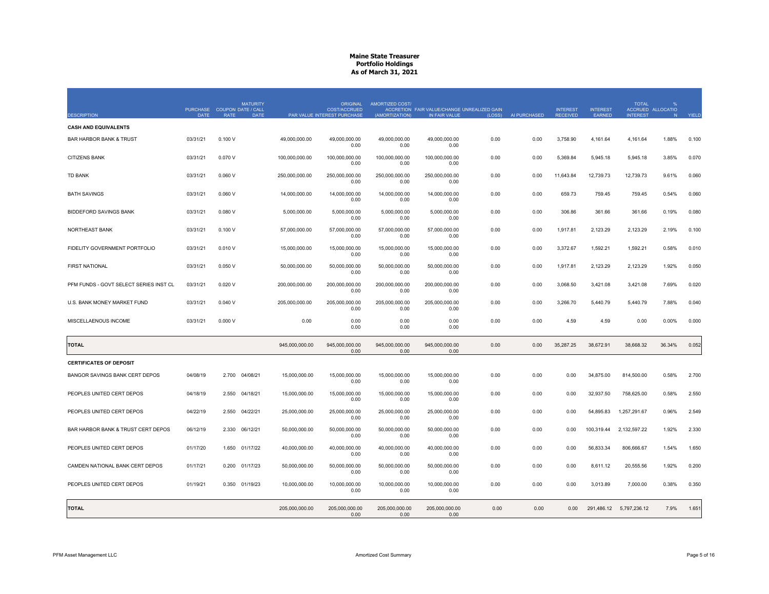|                                        |             | PURCHASE COUPON DATE / CALL | <b>MATURITY</b> |                | ORIGINAL<br><b>COST/ACCRUED</b> | AMORTIZED COST/        | ACCRETION FAIR VALUE/CHANGE UNREALIZED GAIN |        |              | <b>INTEREST</b> | <b>INTEREST</b> | <b>TOTAL</b>             | ACCRUED ALLOCATIO |       |
|----------------------------------------|-------------|-----------------------------|-----------------|----------------|---------------------------------|------------------------|---------------------------------------------|--------|--------------|-----------------|-----------------|--------------------------|-------------------|-------|
| <b>DESCRIPTION</b>                     | <b>DATE</b> | <b>RATE</b>                 | <b>DATE</b>     |                | PAR VALUE INTEREST PURCHASE     | (AMORTIZATION)         | IN FAIR VALUE                               | (LOSS) | AI PURCHASED | <b>RECEIVED</b> | EARNED          | <b>INTEREST</b>          | N                 | YIELD |
| <b>CASH AND EQUIVALENTS</b>            |             |                             |                 |                |                                 |                        |                                             |        |              |                 |                 |                          |                   |       |
| <b>BAR HARBOR BANK &amp; TRUST</b>     | 03/31/21    | 0.100V                      |                 | 49,000,000.00  | 49,000,000.00<br>0.00           | 49,000,000.00<br>0.00  | 49,000,000.00<br>0.00                       | 0.00   | 0.00         | 3,758.90        | 4,161.64        | 4,161.64                 | 1.88%             | 0.100 |
| <b>CITIZENS BANK</b>                   | 03/31/21    | 0.070V                      |                 | 100,000,000.00 | 100,000,000.00<br>0.00          | 100,000,000.00<br>0.00 | 100,000,000.00<br>0.00                      | 0.00   | 0.00         | 5,369.84        | 5,945.18        | 5,945.18                 | 3.85%             | 0.070 |
| <b>TD BANK</b>                         | 03/31/21    | 0.060V                      |                 | 250,000,000.00 | 250,000,000.00<br>0.00          | 250,000,000.00<br>0.00 | 250,000,000.00<br>0.00                      | 0.00   | 0.00         | 11,643.84       | 12,739.73       | 12,739.73                | 9.61%             | 0.060 |
| <b>BATH SAVINGS</b>                    | 03/31/21    | 0.060V                      |                 | 14,000,000.00  | 14,000,000.00<br>0.00           | 14,000,000.00<br>0.00  | 14,000,000.00<br>0.00                       | 0.00   | 0.00         | 659.73          | 759.45          | 759.45                   | 0.54%             | 0.060 |
| <b>BIDDEFORD SAVINGS BANK</b>          | 03/31/21    | 0.080V                      |                 | 5,000,000.00   | 5,000,000.00<br>0.00            | 5,000,000.00<br>0.00   | 5,000,000.00<br>0.00                        | 0.00   | 0.00         | 306.86          | 361.66          | 361.66                   | 0.19%             | 0.080 |
| NORTHEAST BANK                         | 03/31/21    | 0.100V                      |                 | 57,000,000.00  | 57,000,000.00<br>0.00           | 57,000,000.00<br>0.00  | 57,000,000.00<br>0.00                       | 0.00   | 0.00         | 1,917.81        | 2,123.29        | 2,123.29                 | 2.19%             | 0.100 |
| FIDELITY GOVERNMENT PORTFOLIO          | 03/31/21    | 0.010V                      |                 | 15,000,000.00  | 15,000,000.00<br>0.00           | 15,000,000.00<br>0.00  | 15,000,000.00<br>0.00                       | 0.00   | 0.00         | 3,372.67        | 1,592.21        | 1,592.21                 | 0.58%             | 0.010 |
| <b>FIRST NATIONAL</b>                  | 03/31/21    | 0.050V                      |                 | 50,000,000.00  | 50,000,000.00<br>0.00           | 50,000,000.00<br>0.00  | 50,000,000.00<br>0.00                       | 0.00   | 0.00         | 1,917.81        | 2,123.29        | 2,123.29                 | 1.92%             | 0.050 |
| PFM FUNDS - GOVT SELECT SERIES INST CL | 03/31/21    | 0.020V                      |                 | 200,000,000.00 | 200,000,000.00<br>0.00          | 200,000,000.00<br>0.00 | 200,000,000.00<br>0.00                      | 0.00   | 0.00         | 3,068.50        | 3,421.08        | 3.421.08                 | 7.69%             | 0.020 |
| U.S. BANK MONEY MARKET FUND            | 03/31/21    | 0.040V                      |                 | 205,000,000.00 | 205,000,000.00<br>0.00          | 205,000,000.00<br>0.00 | 205,000,000.00<br>0.00                      | 0.00   | 0.00         | 3,266.70        | 5,440.79        | 5,440.79                 | 7.88%             | 0.040 |
| MISCELLAENOUS INCOME                   | 03/31/21    | 0.000V                      |                 | 0.00           | 0.00<br>0.00                    | 0.00<br>0.00           | 0.00<br>0.00                                | 0.00   | 0.00         | 4.59            | 4.59            | 0.00                     | 0.00%             | 0.000 |
| <b>TOTAL</b>                           |             |                             |                 | 945,000,000.00 | 945,000,000.00                  | 945,000,000.00         | 945,000,000.00                              | 0.00   | 0.00         | 35,287.25       | 38,672.91       | 38,668.32                | 36.34%            | 0.052 |
|                                        |             |                             |                 |                | 0.00                            | 0.00                   | 0.00                                        |        |              |                 |                 |                          |                   |       |
| <b>CERTIFICATES OF DEPOSIT</b>         |             |                             |                 |                |                                 |                        |                                             |        |              |                 |                 |                          |                   |       |
| BANGOR SAVINGS BANK CERT DEPOS         | 04/08/19    | 2.700                       | 04/08/21        | 15,000,000.00  | 15,000,000.00<br>0.00           | 15,000,000.00<br>0.00  | 15,000,000.00<br>0.00                       | 0.00   | 0.00         | 0.00            | 34,875.00       | 814,500.00               | 0.58%             | 2.700 |
| PEOPLES UNITED CERT DEPOS              | 04/18/19    | 2.550                       | 04/18/21        | 15,000,000.00  | 15,000,000.00<br>0.00           | 15,000,000.00<br>0.00  | 15,000,000.00<br>0.00                       | 0.00   | 0.00         | 0.00            | 32,937.50       | 758,625.00               | 0.58%             | 2.550 |
| PEOPLES UNITED CERT DEPOS              | 04/22/19    | 2.550                       | 04/22/21        | 25,000,000.00  | 25,000,000.00<br>0.00           | 25,000,000.00<br>0.00  | 25,000,000.00<br>0.00                       | 0.00   | 0.00         | 0.00            | 54,895.83       | 1,257,291.67             | 0.96%             | 2.549 |
| BAR HARBOR BANK & TRUST CERT DEPOS     | 06/12/19    | 2.330                       | 06/12/21        | 50,000,000.00  | 50,000,000.00<br>0.00           | 50,000,000.00<br>0.00  | 50,000,000.00<br>0.00                       | 0.00   | 0.00         | 0.00            | 100,319.44      | 2,132,597.22             | 1.92%             | 2.330 |
| PEOPLES UNITED CERT DEPOS              | 01/17/20    | 1.650                       | 01/17/22        | 40,000,000.00  | 40,000,000.00<br>0.00           | 40,000,000.00<br>0.00  | 40,000,000.00<br>0.00                       | 0.00   | 0.00         | 0.00            | 56,833.34       | 806,666.67               | 1.54%             | 1.650 |
| CAMDEN NATIONAL BANK CERT DEPOS        | 01/17/21    | 0.200                       | 01/17/23        | 50,000,000.00  | 50,000,000.00<br>0.00           | 50,000,000.00<br>0.00  | 50,000,000.00<br>0.00                       | 0.00   | 0.00         | 0.00            | 8,611.12        | 20,555.56                | 1.92%             | 0.200 |
| PEOPLES UNITED CERT DEPOS              | 01/19/21    | 0.350 01/19/23              |                 | 10,000,000.00  | 10,000,000.00<br>0.00           | 10.000.000.00<br>0.00  | 10,000,000.00<br>0.00                       | 0.00   | 0.00         | 0.00            | 3,013.89        | 7.000.00                 | 0.38%             | 0.350 |
| <b>TOTAL</b>                           |             |                             |                 | 205,000,000.00 | 205,000,000.00<br>0.00          | 205,000,000.00<br>0.00 | 205,000,000.00<br>0.00                      | 0.00   | 0.00         | 0.00            |                 | 291,486.12  5,797,236.12 | 7.9%              | 1.651 |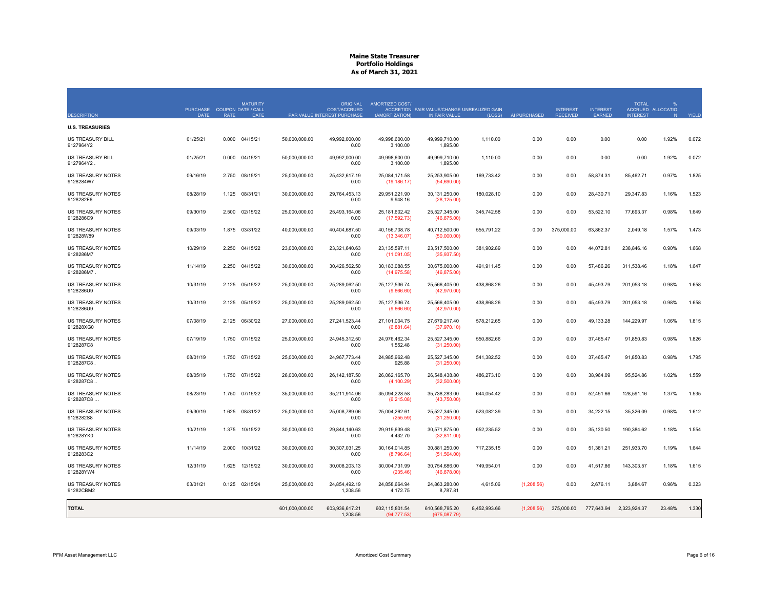|                                        | PURCHASE COUPON DATE / CALL |             | <b>MATURITY</b> |                | <b>ORIGINAL</b><br>COST/ACCRUED | AMORTIZED COST/                | ACCRETION FAIR VALUE/CHANGE UNREALIZED GAIN |              |              | <b>INTEREST</b> | <b>INTEREST</b> | <b>TOTAL</b>    | ACCRUED ALLOCATIO |       |
|----------------------------------------|-----------------------------|-------------|-----------------|----------------|---------------------------------|--------------------------------|---------------------------------------------|--------------|--------------|-----------------|-----------------|-----------------|-------------------|-------|
| <b>DESCRIPTION</b>                     | <b>DATE</b>                 | <b>RATE</b> | <b>DATE</b>     |                | PAR VALUE INTEREST PURCHASE     | (AMORTIZATION)                 | IN FAIR VALUE                               | (LOSS)       | AI PURCHASED | <b>RECEIVED</b> | EARNED          | <b>INTEREST</b> | N                 | YIELD |
| <b>U.S. TREASURIES</b>                 |                             |             |                 |                |                                 |                                |                                             |              |              |                 |                 |                 |                   |       |
| <b>US TREASURY BILL</b><br>9127964Y2   | 01/25/21                    |             | 0.000 04/15/21  | 50.000.000.00  | 49.992.000.00<br>0.00           | 49,998,600.00<br>3,100.00      | 49.999.710.00<br>1,895.00                   | 1.110.00     | 0.00         | 0.00            | 0.00            | 0.00            | 1.92%             | 0.072 |
| <b>US TREASURY BILL</b><br>9127964Y2.  | 01/25/21                    | 0.000       | 04/15/21        | 50.000.000.00  | 49.992.000.00<br>0.00           | 49.998.600.00<br>3,100.00      | 49.999.710.00<br>1,895.00                   | 1.110.00     | 0.00         | 0.00            | 0.00            | 0.00            | 1.92%             | 0.072 |
| <b>US TREASURY NOTES</b><br>9128284W7  | 09/16/19                    | 2.750       | 08/15/21        | 25,000,000.00  | 25,432,617.19<br>0.00           | 25,084,171.58<br>(19, 186.17)  | 25,253,905.00<br>(54,690.00)                | 169,733.42   | 0.00         | 0.00            | 58,874.31       | 85,462.71       | 0.97%             | 1.825 |
| US TREASURY NOTES<br>9128282F6         | 08/28/19                    | 1.125       | 08/31/21        | 30,000,000.00  | 29,764,453.13<br>0.00           | 29,951,221.90<br>9,948.16      | 30, 131, 250.00<br>(28, 125.00)             | 180,028.10   | 0.00         | 0.00            | 28,430.71       | 29,347.83       | 1.16%             | 1.523 |
| US TREASURY NOTES<br>9128286C9         | 09/30/19                    | 2.500       | 02/15/22        | 25,000,000.00  | 25,493,164.06<br>0.00           | 25,181,602.42<br>(17,592.73)   | 25,527,345.00<br>(46, 875.00)               | 345,742.58   | 0.00         | 0.00            | 53,522.10       | 77,693.37       | 0.98%             | 1.649 |
| US TREASURY NOTES<br>912828W89         | 09/03/19                    | 1.875       | 03/31/22        | 40,000,000.00  | 40.404.687.50<br>0.00           | 40,156,708.78<br>(13,346.07)   | 40,712,500.00<br>(50,000.00)                | 555,791.22   | 0.00         | 375,000.00      | 63,862.37       | 2,049.18        | 1.57%             | 1.473 |
| US TREASURY NOTES<br>9128286M7         | 10/29/19                    | 2.250       | 04/15/22        | 23,000,000.00  | 23,321,640.63<br>0.00           | 23,135,597.11<br>(11,091.05)   | 23,517,500.00<br>(35,937.50)                | 381,902.89   | 0.00         | 0.00            | 44,072.81       | 238,846.16      | 0.90%             | 1.668 |
| <b>US TREASURY NOTES</b><br>9128286M7. | 11/14/19                    | 2.250       | 04/15/22        | 30,000,000.00  | 30,426,562.50<br>0.00           | 30,183,088.55<br>(14, 975.58)  | 30,675,000.00<br>(46,875.00)                | 491,911.45   | 0.00         | 0.00            | 57,486.26       | 311,538.46      | 1.18%             | 1.647 |
| US TREASURY NOTES<br>9128286U9         | 10/31/19                    | 2.125       | 05/15/22        | 25,000,000.00  | 25,289,062.50<br>0.00           | 25, 127, 536. 74<br>(9,666.60) | 25,566,405.00<br>(42,970.00)                | 438,868.26   | 0.00         | 0.00            | 45,493.79       | 201,053.18      | 0.98%             | 1.658 |
| US TREASURY NOTES<br>9128286U9         | 10/31/19                    |             | 2.125 05/15/22  | 25.000.000.00  | 25.289.062.50<br>0.00           | 25.127.536.74<br>(9,666.60)    | 25.566.405.00<br>(42,970.00)                | 438.868.26   | 0.00         | 0.00            | 45.493.79       | 201.053.18      | 0.98%             | 1.658 |
| US TREASURY NOTES<br>912828XG0         | 07/08/19                    | 2.125       | 06/30/22        | 27,000,000.00  | 27.241.523.44<br>0.00           | 27,101,004.75<br>(6,881.64)    | 27,679,217.40<br>(37, 970.10)               | 578,212.65   | 0.00         | 0.00            | 49,133.28       | 144,229.97      | 1.06%             | 1.815 |
| US TREASURY NOTES<br>9128287C8         | 07/19/19                    |             | 1.750 07/15/22  | 25,000,000.00  | 24,945,312.50<br>0.00           | 24,976,462.34<br>1,552.48      | 25,527,345.00<br>(31,250.00)                | 550,882.66   | 0.00         | 0.00            | 37,465.47       | 91,850.83       | 0.98%             | 1.826 |
| US TREASURY NOTES<br>9128287C8         | 08/01/19                    | 1.750       | 07/15/22        | 25,000,000.00  | 24,967,773.44<br>0.00           | 24,985,962.48<br>925.88        | 25,527,345.00<br>(31, 250.00)               | 541,382.52   | 0.00         | 0.00            | 37,465.47       | 91,850.83       | 0.98%             | 1.795 |
| <b>US TREASURY NOTES</b><br>9128287C8  | 08/05/19                    | 1.750       | 07/15/22        | 26,000,000.00  | 26.142.187.50<br>0.00           | 26.062.165.70<br>(4, 100.29)   | 26,548,438.80<br>(32,500.00)                | 486,273.10   | 0.00         | 0.00            | 38,964.09       | 95,524.86       | 1.02%             | 1.559 |
| US TREASURY NOTES<br>9128287C8         | 08/23/19                    |             | 1.750 07/15/22  | 35,000,000.00  | 35,211,914.06<br>0.00           | 35,094,228.58<br>(6,215.08)    | 35,738,283.00<br>(43,750.00)                | 644,054.42   | 0.00         | 0.00            | 52,451.66       | 128,591.16      | 1.37%             | 1.535 |
| US TREASURY NOTES<br>9128282S8         | 09/30/19                    | 1.625       | 08/31/22        | 25,000,000.00  | 25,008,789.06<br>0.00           | 25,004,262.61<br>(255.59)      | 25,527,345.00<br>(31,250.00)                | 523,082.39   | 0.00         | 0.00            | 34,222.15       | 35,326.09       | 0.98%             | 1.612 |
| US TREASURY NOTES<br>912828YK0         | 10/21/19                    |             | 1.375 10/15/22  | 30,000,000.00  | 29,844,140.63<br>0.00           | 29,919,639.48<br>4,432.70      | 30,571,875.00<br>(32,811.00)                | 652,235.52   | 0.00         | 0.00            | 35,130.50       | 190,384.62      | 1.18%             | 1.554 |
| <b>US TREASURY NOTES</b><br>9128283C2  | 11/14/19                    | 2.000       | 10/31/22        | 30,000,000.00  | 30,307,031.25<br>0.00           | 30,164,014.85<br>(8,796.64)    | 30,881,250.00<br>(51, 564.00)               | 717,235.15   | 0.00         | 0.00            | 51,381.21       | 251,933.70      | 1.19%             | 1.644 |
| <b>US TREASURY NOTES</b><br>912828YW4  | 12/31/19                    | 1.625       | 12/15/22        | 30.000.000.00  | 30.008.203.13<br>0.00           | 30.004.731.99<br>(235.46)      | 30.754.686.00<br>(46,878.00)                | 749.954.01   | 0.00         | 0.00            | 41.517.86       | 143.303.57      | 1.18%             | 1.615 |
| US TREASURY NOTES<br>91282CBM2         | 03/01/21                    |             | 0.125 02/15/24  | 25,000,000.00  | 24,854,492.19<br>1,208.56       | 24,858,664.94<br>4,172.75      | 24,863,280.00<br>8,787.81                   | 4,615.06     | (1,208.56)   | 0.00            | 2,676.11        | 3,884.67        | 0.96%             | 0.323 |
| <b>TOTAL</b>                           |                             |             |                 | 601,000,000.00 | 603,936,617.21<br>1,208.56      | 602,115,801.54<br>(94, 777.53) | 610,568,795.20<br>(675,087.79)              | 8,452,993.66 | (1,208.56)   | 375,000.00      | 777,643.94      | 2,323,924.37    | 23.48%            | 1.330 |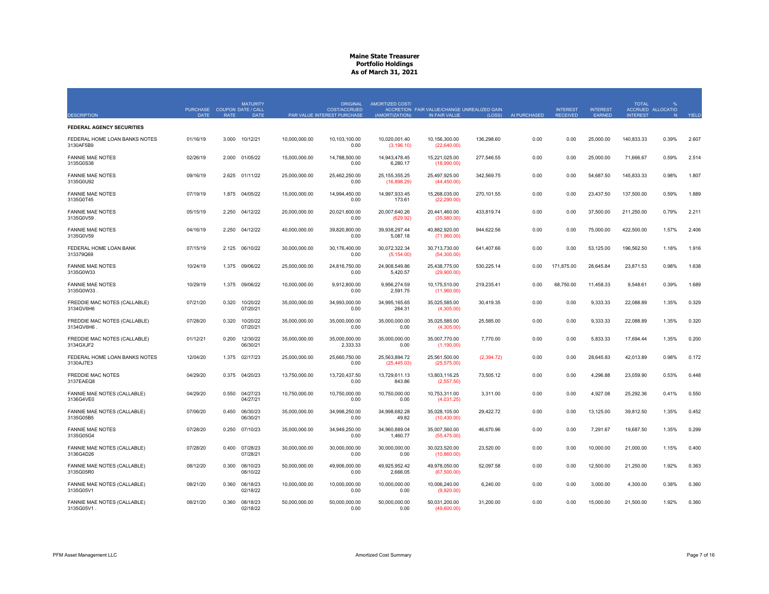| <b>DESCRIPTION</b>                         | PURCHASE COUPON DATE / CALL<br><b>DATE</b> | <b>RATE</b> | <b>MATURITY</b><br><b>DATE</b> |               | ORIGINAL<br><b>COST/ACCRUED</b><br>PAR VALUE INTEREST PURCHASE | <b>AMORTIZED COST/</b><br>(AMORTIZATION) | ACCRETION FAIR VALUE/CHANGE UNREALIZED GAIN<br>IN FAIR VALUE | (LOSS)     | AI PURCHASED | <b>INTEREST</b><br><b>RECEIVED</b> | <b>INTEREST</b><br>EARNED | <b>TOTAL</b><br><b>INTEREST</b> | ACCRUED ALLOCATIO<br>N | YIELD |
|--------------------------------------------|--------------------------------------------|-------------|--------------------------------|---------------|----------------------------------------------------------------|------------------------------------------|--------------------------------------------------------------|------------|--------------|------------------------------------|---------------------------|---------------------------------|------------------------|-------|
| <b>FEDERAL AGENCY SECURITIES</b>           |                                            |             |                                |               |                                                                |                                          |                                                              |            |              |                                    |                           |                                 |                        |       |
| FEDERAL HOME LOAN BANKS NOTES<br>3130AF5B9 | 01/16/19                                   | 3.000       | 10/12/21                       | 10,000,000.00 | 10,103,100.00<br>0.00                                          | 10,020,001.40<br>(3, 196.10)             | 10,156,300.00<br>(22,640.00)                                 | 136,298.60 | 0.00         | 0.00                               | 25,000.00                 | 140,833.33                      | 0.39%                  | 2.607 |
| <b>FANNIE MAE NOTES</b><br>3135G0S38       | 02/26/19                                   | 2.000       | 01/05/22                       | 15,000,000,00 | 14.788.500.00<br>0.00                                          | 14.943.478.45<br>6,280.17                | 15.221.025.00<br>(18,990.00)                                 | 277.546.55 | 0.00         | 0.00                               | 25,000.00                 | 71.666.67                       | 0.59%                  | 2.514 |
| <b>FANNIE MAE NOTES</b><br>3135G0U92       | 09/16/19                                   | 2.625       | 01/11/22                       | 25,000,000.00 | 25,462,250.00<br>0.00                                          | 25, 155, 355. 25<br>(16,898.29)          | 25,497,925.00<br>(44, 450.00)                                | 342,569.75 | 0.00         | 0.00                               | 54,687.50                 | 145,833.33                      | 0.98%                  | 1.807 |
| <b>FANNIE MAE NOTES</b><br>3135G0T45       | 07/19/19                                   | 1.875       | 04/05/22                       | 15,000,000.00 | 14.994.450.00<br>0.00                                          | 14,997,933.45<br>173.61                  | 15,268,035.00<br>(22, 290.00)                                | 270,101.55 | 0.00         | 0.00                               | 23,437.50                 | 137,500.00                      | 0.59%                  | 1.889 |
| <b>FANNIE MAE NOTES</b><br>3135G0V59       | 05/15/19                                   | 2.250       | 04/12/22                       | 20,000,000.00 | 20,021,600.00<br>0.00                                          | 20,007,640.26<br>(629.92)                | 20,441,460.00<br>(35,980.00)                                 | 433,819.74 | 0.00         | 0.00                               | 37,500.00                 | 211,250.00                      | 0.79%                  | 2.211 |
| <b>FANNIE MAE NOTES</b><br>3135G0V59       | 04/16/19                                   | 2.250       | 04/12/22                       | 40,000,000.00 | 39,820,800.00<br>0.00                                          | 39,938,297.44<br>5,087.18                | 40,882,920.00<br>(71,960.00)                                 | 944,622.56 | 0.00         | 0.00                               | 75,000.00                 | 422,500.00                      | 1.57%                  | 2.406 |
| FEDERAL HOME LOAN BANK<br>313379Q69        | 07/15/19                                   | 2.125       | 06/10/22                       | 30.000.000.00 | 30.176.400.00<br>0.00                                          | 30.072.322.34<br>(5, 154.00)             | 30.713.730.00<br>(54,300.00)                                 | 641,407.66 | 0.00         | 0.00                               | 53.125.00                 | 196.562.50                      | 1.18%                  | 1.916 |
| <b>FANNIE MAE NOTES</b><br>3135G0W33       | 10/24/19                                   | 1.375       | 09/06/22                       | 25,000,000.00 | 24.816.750.00<br>0.00                                          | 24.908.549.86<br>5,420.57                | 25.438.775.00<br>(29,900.00)                                 | 530,225.14 | 0.00         | 171.875.00                         | 28.645.84                 | 23,871.53                       | 0.98%                  | 1.638 |
| <b>FANNIE MAE NOTES</b><br>3135G0W33       | 10/29/19                                   | 1.375       | 09/06/22                       | 10,000,000.00 | 9,912,800.00<br>0.00                                           | 9,956,274.59<br>2,591.75                 | 10,175,510.00<br>(11,960.00)                                 | 219,235.41 | 0.00         | 68,750.00                          | 11,458.33                 | 9,548.61                        | 0.39%                  | 1.689 |
| FREDDIE MAC NOTES (CALLABLE)<br>3134GV6H6  | 07/21/20                                   | 0.320       | 10/20/22<br>07/20/21           | 35,000,000.00 | 34,993,000.00<br>0.00                                          | 34,995,165.65<br>264.31                  | 35,025,585.00<br>(4,305.00)                                  | 30,419.35  | 0.00         | 0.00                               | 9,333.33                  | 22,088.89                       | 1.35%                  | 0.329 |
| FREDDIE MAC NOTES (CALLABLE)<br>3134GV6H6  | 07/28/20                                   | 0.320       | 10/20/22<br>07/20/21           | 35,000,000.00 | 35,000,000.00<br>0.00                                          | 35,000,000.00<br>0.00                    | 35,025,585.00<br>(4,305.00)                                  | 25,585.00  | 0.00         | 0.00                               | 9,333.33                  | 22,088.89                       | 1.35%                  | 0.320 |
| FREDDIE MAC NOTES (CALLABLE)<br>3134GXJF2  | 01/12/21                                   | 0.200       | 12/30/22<br>06/30/21           | 35,000,000.00 | 35,000,000.00<br>2,333.33                                      | 35,000,000.00<br>0.00                    | 35,007,770.00<br>(1,190.00)                                  | 7,770.00   | 0.00         | 0.00                               | 5,833.33                  | 17,694.44                       | 1.35%                  | 0.200 |
| FEDERAL HOME LOAN BANKS NOTES<br>3130AJ7E3 | 12/04/20                                   | 1.375       | 02/17/23                       | 25,000,000.00 | 25.660.750.00<br>0.00                                          | 25.563.894.72<br>(25, 445.03)            | 25,561,500.00<br>(25, 575.00)                                | (2,394.72) | 0.00         | 0.00                               | 28.645.83                 | 42,013.89                       | 0.98%                  | 0.172 |
| <b>FREDDIE MAC NOTES</b><br>3137EAEQ8      | 04/29/20                                   |             | 0.375 04/20/23                 | 13,750,000.00 | 13,720,437.50<br>0.00                                          | 13,729,611.13<br>843.86                  | 13,803,116.25<br>(2,557.50)                                  | 73,505.12  | 0.00         | 0.00                               | 4,296.88                  | 23,059.90                       | 0.53%                  | 0.448 |
| FANNIE MAE NOTES (CALLABLE)<br>3136G4VE0   | 04/29/20                                   | 0.550       | 04/27/23<br>04/27/21           | 10,750,000.00 | 10.750.000.00<br>0.00                                          | 10.750.000.00<br>0.00                    | 10,753,311.00<br>(4,031.25)                                  | 3,311.00   | 0.00         | 0.00                               | 4,927.08                  | 25.292.36                       | 0.41%                  | 0.550 |
| FANNIE MAE NOTES (CALLABLE)<br>3135G05B5   | 07/06/20                                   | 0.450       | 06/30/23<br>06/30/21           | 35,000,000.00 | 34,998,250.00<br>0.00                                          | 34,998,682.28<br>49.82                   | 35,028,105.00<br>(10, 430.00)                                | 29,422.72  | 0.00         | 0.00                               | 13,125.00                 | 39,812.50                       | 1.35%                  | 0.452 |
| <b>FANNIE MAE NOTES</b><br>3135G05G4       | 07/28/20                                   | 0.250       | 07/10/23                       | 35,000,000.00 | 34,949,250.00<br>0.00                                          | 34,960,889.04<br>1,460.77                | 35,007,560.00<br>(55, 475.00)                                | 46,670.96  | 0.00         | 0.00                               | 7,291.67                  | 19,687.50                       | 1.35%                  | 0.299 |
| FANNIE MAE NOTES (CALLABLE)<br>3136G4D26   | 07/28/20                                   | 0.400       | 07/28/23<br>07/28/21           | 30,000,000.00 | 30.000.000.00<br>0.00                                          | 30.000.000.00<br>0.00                    | 30,023,520.00<br>(10,860.00)                                 | 23,520.00  | 0.00         | 0.00                               | 10,000.00                 | 21.000.00                       | 1.15%                  | 0.400 |
| FANNIE MAE NOTES (CALLABLE)<br>3135G05R0   | 08/12/20                                   | 0.300       | 08/10/23<br>08/10/22           | 50,000,000.00 | 49,906,000.00<br>0.00                                          | 49.925.952.42<br>2,666.05                | 49.978.050.00<br>(67,500.00)                                 | 52,097.58  | 0.00         | 0.00                               | 12,500.00                 | 21,250.00                       | 1.92%                  | 0.363 |
| FANNIE MAE NOTES (CALLABLE)<br>3135G05V1   | 08/21/20                                   | 0.360       | 08/18/23<br>02/18/22           | 10,000,000.00 | 10,000,000.00<br>0.00                                          | 10,000,000.00<br>0.00                    | 10,006,240.00<br>(9,920.00)                                  | 6,240.00   | 0.00         | 0.00                               | 3,000.00                  | 4,300.00                        | 0.38%                  | 0.360 |
| FANNIE MAE NOTES (CALLABLE)<br>3135G05V1.  | 08/21/20                                   | 0.360       | 08/18/23<br>02/18/22           | 50,000,000.00 | 50,000,000.00<br>0.00                                          | 50,000,000.00<br>0.00                    | 50,031,200.00<br>(49,600.00)                                 | 31,200.00  | 0.00         | 0.00                               | 15,000.00                 | 21,500.00                       | 1.92%                  | 0.360 |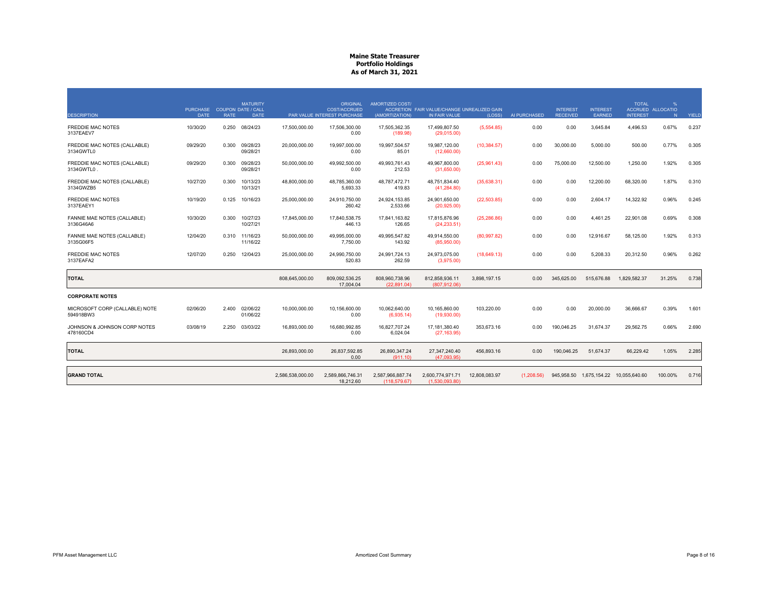|                                             | PURCHASE COUPON DATE / CALL |             | <b>MATURITY</b>            |                  | <b>ORIGINAL</b><br><b>COST/ACCRUED</b> | AMORTIZED COST/                  | ACCRETION FAIR VALUE/CHANGE UNREALIZED GAIN |               |              | <b>INTEREST</b> | <b>INTEREST</b> | <b>TOTAL</b>                | %<br>ACCRUED ALLOCATIO |              |
|---------------------------------------------|-----------------------------|-------------|----------------------------|------------------|----------------------------------------|----------------------------------|---------------------------------------------|---------------|--------------|-----------------|-----------------|-----------------------------|------------------------|--------------|
| <b>DESCRIPTION</b>                          | <b>DATE</b>                 | <b>RATE</b> | <b>DATE</b>                |                  | PAR VALUE INTEREST PURCHASE            | (AMORTIZATION)                   | IN FAIR VALUE                               | (LOSS)        | AI PURCHASED | <b>RECEIVED</b> | <b>EARNED</b>   | <b>INTEREST</b>             | N                      | <b>YIELD</b> |
| <b>FREDDIE MAC NOTES</b><br>3137EAEV7       | 10/30/20                    | 0.250       | 08/24/23                   | 17,500,000.00    | 17,506,300.00<br>0.00                  | 17,505,362.35<br>(189.98)        | 17,499,807.50<br>(29,015.00)                | (5,554.85)    | 0.00         | 0.00            | 3,645.84        | 4,496.53                    | 0.67%                  | 0.237        |
| FREDDIE MAC NOTES (CALLABLE)<br>3134GWTL0   | 09/29/20                    | 0.300       | 09/28/23<br>09/28/21       | 20,000,000.00    | 19.997.000.00<br>0.00                  | 19.997.504.57<br>85.01           | 19,987,120.00<br>(12,660.00)                | (10, 384.57)  | 0.00         | 30,000.00       | 5,000.00        | 500.00                      | 0.77%                  | 0.305        |
| FREDDIE MAC NOTES (CALLABLE)<br>3134GWTL0   | 09/29/20                    | 0.300       | 09/28/23<br>09/28/21       | 50,000,000.00    | 49.992.500.00<br>0.00                  | 49.993.761.43<br>212.53          | 49.967.800.00<br>(31,650.00)                | (25,961.43)   | 0.00         | 75,000.00       | 12,500.00       | 1.250.00                    | 1.92%                  | 0.305        |
| FREDDIE MAC NOTES (CALLABLE)<br>3134GWZB5   | 10/27/20                    | 0.300       | 10/13/23<br>10/13/21       | 48,800,000.00    | 48,785,360.00<br>5,693.33              | 48,787,472.71<br>419.83          | 48,751,834.40<br>(41, 284.80)               | (35,638.31)   | 0.00         | 0.00            | 12,200.00       | 68,320.00                   | 1.87%                  | 0.310        |
| <b>FREDDIE MAC NOTES</b><br>3137EAEY1       | 10/19/20                    | 0.125       | 10/16/23                   | 25,000,000.00    | 24,910,750.00<br>260.42                | 24,924,153.85<br>2,533.66        | 24.901.650.00<br>(20, 925.00)               | (22, 503.85)  | 0.00         | 0.00            | 2,604.17        | 14,322.92                   | 0.96%                  | 0.245        |
| FANNIE MAE NOTES (CALLABLE)<br>3136G46A6    | 10/30/20                    | 0.300       | 10/27/23<br>10/27/21       | 17,845,000.00    | 17.840.538.75<br>446.13                | 17.841.163.82<br>126.65          | 17.815.876.96<br>(24, 233.51)               | (25, 286.86)  | 0.00         | 0.00            | 4.461.25        | 22.901.08                   | 0.69%                  | 0.308        |
| FANNIE MAE NOTES (CALLABLE)<br>3135G06F5    | 12/04/20                    |             | 0.310 11/16/23<br>11/16/22 | 50,000,000.00    | 49.995.000.00<br>7.750.00              | 49.995.547.82<br>143.92          | 49.914.550.00<br>(85,950.00)                | (80, 997.82)  | 0.00         | 0.00            | 12,916.67       | 58.125.00                   | 1.92%                  | 0.313        |
| <b>FREDDIE MAC NOTES</b><br>3137EAFA2       | 12/07/20                    | 0.250       | 12/04/23                   | 25,000,000.00    | 24,990,750.00<br>520.83                | 24,991,724.13<br>262.59          | 24,973,075.00<br>(3,975.00)                 | (18,649.13)   | 0.00         | 0.00            | 5,208.33        | 20,312.50                   | 0.96%                  | 0.262        |
| <b>TOTAL</b>                                |                             |             |                            | 808,645,000.00   | 809,092,536.25<br>17,004.04            | 808,960,738.96<br>(22.891.04)    | 812,858,936.11<br>(807.912.06)              | 3,898,197.15  | 0.00         | 345,625.00      | 515,676.88      | 1,829,582.37                | 31.25%                 | 0.738        |
| <b>CORPORATE NOTES</b>                      |                             |             |                            |                  |                                        |                                  |                                             |               |              |                 |                 |                             |                        |              |
| MICROSOFT CORP (CALLABLE) NOTE<br>594918BW3 | 02/06/20                    | 2.400       | 02/06/22<br>01/06/22       | 10,000,000.00    | 10,156,600.00<br>0.00                  | 10.062.640.00<br>(6,935.14)      | 10.165.860.00<br>(19,930.00)                | 103,220.00    | 0.00         | 0.00            | 20,000.00       | 36,666.67                   | 0.39%                  | 1.601        |
| JOHNSON & JOHNSON CORP NOTES<br>478160CD4   | 03/08/19                    | 2.250       | 03/03/22                   | 16,893,000.00    | 16.680.992.85<br>0.00                  | 16.827.707.24<br>6.024.04        | 17, 181, 380.40<br>(27, 163.95)             | 353.673.16    | 0.00         | 190.046.25      | 31,674.37       | 29,562.75                   | 0.66%                  | 2.690        |
| <b>TOTAL</b>                                |                             |             |                            | 26,893,000.00    | 26,837,592.85<br>0.00                  | 26,890,347.24<br>(911.10)        | 27,347,240.40<br>(47.093.95)                | 456,893.16    | 0.00         | 190,046.25      | 51,674.37       | 66,229.42                   | 1.05%                  | 2.285        |
| <b>GRAND TOTAL</b>                          |                             |             |                            | 2,586,538,000.00 | 2.589.866.746.31<br>18.212.60          | 2,587,966,887.74<br>(118.579.67) | 2,600,774,971.71<br>(1.530.093.80)          | 12.808.083.97 | (1.208.56)   | 945.958.50      |                 | 1.675.154.22  10.055.640.60 | 100.00%                | 0.716        |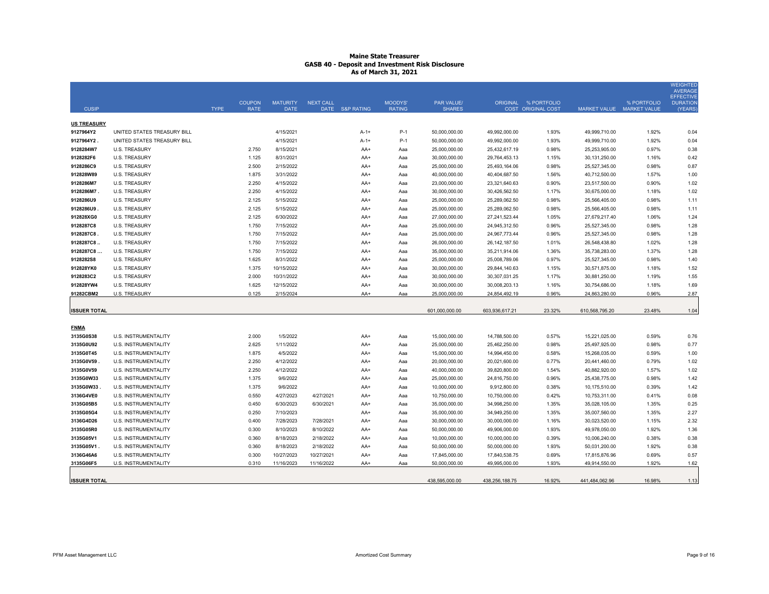| <b>CUSIP</b>             |                                              | <b>TYPE</b> | <b>COUPON</b><br><b>RATE</b> | <b>MATURITY</b><br><b>DATE</b> | <b>NEXT CALL</b> | DATE S&P RATING | <b>MOODYS'</b><br><b>RATING</b> | <b>PAR VALUE/</b><br><b>SHARES</b> |                                | ORIGINAL % PORTFOLIO<br><b>COST ORIGINAL COST</b> |                                | % PORTFOLIO<br>MARKET VALUE MARKET VALUE | <b>WEIGHTED</b><br><b>AVERAGE</b><br><b>EFFECTIVE</b><br><b>DURATION</b><br>(YEARS) |
|--------------------------|----------------------------------------------|-------------|------------------------------|--------------------------------|------------------|-----------------|---------------------------------|------------------------------------|--------------------------------|---------------------------------------------------|--------------------------------|------------------------------------------|-------------------------------------------------------------------------------------|
| <b>US TREASURY</b>       |                                              |             |                              |                                |                  |                 |                                 |                                    |                                |                                                   |                                |                                          |                                                                                     |
| 9127964Y2                | UNITED STATES TREASURY BILL                  |             |                              | 4/15/2021                      |                  | $A-1+$          | P-1                             | 50,000,000.00                      | 49,992,000.00                  | 1.93%                                             | 49,999,710.00                  | 1.92%                                    | 0.04                                                                                |
| 9127964Y2.               | UNITED STATES TREASURY BILL                  |             |                              | 4/15/2021                      |                  | $A-1+$          | $P-1$                           | 50,000,000.00                      | 49,992,000.00                  | 1.93%                                             | 49,999,710.00                  | 1.92%                                    | 0.04                                                                                |
| 9128284W7                | <b>U.S. TREASURY</b>                         |             | 2.750                        | 8/15/2021                      |                  | AA+             | Aaa                             | 25,000,000.00                      | 25,432,617.19                  | 0.98%                                             | 25,253,905.00                  | 0.97%                                    | 0.38                                                                                |
| 9128282F6                | <b>U.S. TREASURY</b>                         |             | 1.125                        | 8/31/2021                      |                  | AA+             | Aaa                             | 30,000,000.00                      | 29,764,453.13                  | 1.15%                                             | 30,131,250.00                  | 1.16%                                    | 0.42                                                                                |
| 9128286C9                | <b>U.S. TREASURY</b>                         |             | 2.500                        | 2/15/2022                      |                  | $AA+$           | Aaa                             | 25,000,000.00                      | 25,493,164.06                  | 0.98%                                             | 25,527,345.00                  | 0.98%                                    | 0.87                                                                                |
| 912828W89                | <b>U.S. TREASURY</b>                         |             | 1.875                        | 3/31/2022                      |                  | AA+             | Aaa                             | 40,000,000.00                      | 40,404,687.50                  | 1.56%                                             | 40,712,500.00                  | 1.57%                                    | 1.00                                                                                |
| 9128286M7                | <b>U.S. TREASURY</b>                         |             | 2.250                        | 4/15/2022                      |                  | AA+             | Aaa                             | 23,000,000.00                      | 23,321,640.63                  | 0.90%                                             | 23,517,500.00                  | 0.90%                                    | 1.02                                                                                |
| 9128286M7                | <b>U.S. TREASURY</b>                         |             | 2.250                        | 4/15/2022                      |                  | AA+             | Aaa                             | 30,000,000.00                      | 30,426,562.50                  | 1.17%                                             | 30,675,000.00                  | 1.18%                                    | 1.02                                                                                |
| 9128286U9                | <b>U.S. TREASURY</b>                         |             | 2.125                        | 5/15/2022                      |                  | AA+             | Aaa                             | 25,000,000.00                      | 25,289,062.50                  | 0.98%                                             | 25,566,405.00                  | 0.98%                                    | 1.11                                                                                |
| 9128286U9                | <b>U.S. TREASURY</b>                         |             | 2.125                        | 5/15/2022                      |                  | AA+             | Aaa                             | 25,000,000.00                      | 25,289,062.50                  | 0.98%                                             | 25,566,405.00                  | 0.98%                                    | 1.11                                                                                |
| 912828XG0                | <b>U.S. TREASURY</b>                         |             | 2.125                        | 6/30/2022                      |                  | AA+             | Aaa                             | 27,000,000.00                      | 27,241,523.44                  | 1.05%                                             | 27,679,217.40                  | 1.06%                                    | 1.24                                                                                |
| 9128287C8                | <b>U.S. TREASURY</b>                         |             | 1.750                        | 7/15/2022                      |                  | AA+             | Aaa                             | 25,000,000.00                      | 24,945,312.50                  | 0.96%                                             | 25,527,345.00                  | 0.98%                                    | 1.28                                                                                |
| 9128287C8<br>9128287C8.  | <b>U.S. TREASURY</b><br><b>U.S. TREASURY</b> |             | 1.750<br>1.750               | 7/15/2022<br>7/15/2022         |                  | AA+             | Aaa                             | 25,000,000.00<br>26,000,000.00     | 24,967,773.44                  | 0.96%                                             | 25,527,345.00                  | 0.98%<br>1.02%                           | 1.28<br>1.28                                                                        |
| 9128287C8                | <b>U.S. TREASURY</b>                         |             | 1.750                        | 7/15/2022                      |                  | AA+<br>AA+      | Aaa<br>Aaa                      | 35,000,000.00                      | 26, 142, 187.50                | 1.01%<br>1.36%                                    | 26,548,438.80<br>35,738,283.00 | 1.37%                                    |                                                                                     |
| 9128282S8                | <b>U.S. TREASURY</b>                         |             | 1.625                        | 8/31/2022                      |                  | AA+             | Aaa                             | 25,000,000.00                      | 35,211,914.06<br>25,008,789.06 | 0.97%                                             | 25,527,345.00                  | 0.98%                                    | 1.28<br>1.40                                                                        |
| 912828YK0                | <b>U.S. TREASURY</b>                         |             | 1.375                        | 10/15/2022                     |                  | AA+             | Aaa                             | 30,000,000.00                      | 29,844,140.63                  | 1.15%                                             | 30,571,875.00                  | 1.18%                                    | 1.52                                                                                |
| 9128283C2                | <b>U.S. TREASURY</b>                         |             | 2.000                        | 10/31/2022                     |                  | AA+             | Aaa                             | 30,000,000.00                      | 30,307,031.25                  | 1.17%                                             | 30,881,250.00                  | 1.19%                                    | 1.55                                                                                |
| 912828YW4                | <b>U.S. TREASURY</b>                         |             | 1.625                        | 12/15/2022                     |                  | AA+             | Aaa                             | 30,000,000.00                      | 30,008,203.13                  | 1.16%                                             | 30,754,686.00                  | 1.18%                                    | 1.69                                                                                |
| 91282CBM2                | <b>U.S. TREASURY</b>                         |             | 0.125                        | 2/15/2024                      |                  | AA+             | Aaa                             | 25.000.000.00                      | 24,854,492.19                  | 0.96%                                             | 24,863,280.00                  | 0.96%                                    | 2.87                                                                                |
|                          |                                              |             |                              |                                |                  |                 |                                 |                                    |                                |                                                   |                                |                                          |                                                                                     |
| <b>ISSUER TOTAL</b>      |                                              |             |                              |                                |                  |                 |                                 | 601,000,000.00                     | 603,936,617.21                 | 23.32%                                            | 610,568,795.20                 | 23.48%                                   | 1.04                                                                                |
|                          |                                              |             |                              |                                |                  |                 |                                 |                                    |                                |                                                   |                                |                                          |                                                                                     |
| <b>FNMA</b><br>3135G0S38 | U.S. INSTRUMENTALITY                         |             | 2.000                        | 1/5/2022                       |                  | AA+             | Aaa                             | 15,000,000.00                      | 14,788,500.00                  | 0.57%                                             | 15,221,025.00                  | 0.59%                                    | 0.76                                                                                |
| 3135G0U92                | U.S. INSTRUMENTALITY                         |             | 2.625                        | 1/11/2022                      |                  | AA+             | Aaa                             | 25,000,000.00                      | 25,462,250.00                  | 0.98%                                             | 25,497,925.00                  | 0.98%                                    | 0.77                                                                                |
| 3135G0T45                | U.S. INSTRUMENTALITY                         |             | 1.875                        | 4/5/2022                       |                  | AA+             | Aaa                             | 15,000,000.00                      | 14,994,450.00                  | 0.58%                                             | 15,268,035.00                  | 0.59%                                    | 1.00                                                                                |
| 3135G0V59                | <b>U.S. INSTRUMENTALITY</b>                  |             | 2.250                        | 4/12/2022                      |                  | $AA+$           | Aaa                             | 20,000,000.00                      | 20,021,600.00                  | 0.77%                                             | 20,441,460.00                  | 0.79%                                    | 1.02                                                                                |
| 3135G0V59                | U.S. INSTRUMENTALITY                         |             | 2.250                        | 4/12/2022                      |                  | AA+             | Aaa                             | 40,000,000.00                      | 39,820,800.00                  | 1.54%                                             | 40,882,920.00                  | 1.57%                                    | 1.02                                                                                |
| 3135G0W33                | U.S. INSTRUMENTALITY                         |             | 1.375                        | 9/6/2022                       |                  | AA+             | Aaa                             | 25,000,000.00                      | 24,816,750.00                  | 0.96%                                             | 25,438,775.00                  | 0.98%                                    | 1.42                                                                                |
| 3135G0W33                | U.S. INSTRUMENTALITY                         |             | 1.375                        | 9/6/2022                       |                  | AA+             | Aaa                             | 10,000,000.00                      | 9,912,800.00                   | 0.38%                                             | 10,175,510.00                  | 0.39%                                    | 1.42                                                                                |
| 3136G4VE0                | U.S. INSTRUMENTALITY                         |             | 0.550                        | 4/27/2023                      | 4/27/2021        | AA+             | Aaa                             | 10,750,000.00                      | 10,750,000.00                  | 0.42%                                             | 10,753,311.00                  | 0.41%                                    | 0.08                                                                                |
| 3135G05B5                | U.S. INSTRUMENTALITY                         |             | 0.450                        | 6/30/2023                      | 6/30/2021        | AA+             | Aaa                             | 35,000,000.00                      | 34,998,250.00                  | 1.35%                                             | 35,028,105.00                  | 1.35%                                    | 0.25                                                                                |
| 3135G05G4                | U.S. INSTRUMENTALITY                         |             | 0.250                        | 7/10/2023                      |                  | AA+             | Aaa                             | 35,000,000.00                      | 34,949,250.00                  | 1.35%                                             | 35,007,560.00                  | 1.35%                                    | 2.27                                                                                |
| 3136G4D26                | U.S. INSTRUMENTALITY                         |             | 0.400                        | 7/28/2023                      | 7/28/2021        | AA+             | Aaa                             | 30,000,000.00                      | 30,000,000.00                  | 1.16%                                             | 30,023,520.00                  | 1.15%                                    | 2.32                                                                                |
| 3135G05R0                | U.S. INSTRUMENTALITY                         |             | 0.300                        | 8/10/2023                      | 8/10/2022        | AA+             | Aaa                             | 50,000,000.00                      | 49,906,000.00                  | 1.93%                                             | 49,978,050.00                  | 1.92%                                    | 1.36                                                                                |
| 3135G05V1                | U.S. INSTRUMENTALITY                         |             | 0.360                        | 8/18/2023                      | 2/18/2022        | AA+             | Aaa                             | 10,000,000.00                      | 10,000,000.00                  | 0.39%                                             | 10,006,240.00                  | 0.38%                                    | 0.38                                                                                |
| 3135G05V1                | U.S. INSTRUMENTALITY                         |             | 0.360                        | 8/18/2023                      | 2/18/2022        | AA+             | Aaa                             | 50,000,000.00                      | 50,000,000.00                  | 1.93%                                             | 50,031,200.00                  | 1.92%                                    | 0.38                                                                                |
| 3136G46A6                | U.S. INSTRUMENTALITY                         |             | 0.300                        | 10/27/2023                     | 10/27/2021       | AA+             | Aaa                             | 17,845,000.00                      | 17,840,538.75                  | 0.69%                                             | 17,815,876.96                  | 0.69%                                    | 0.57                                                                                |
| 3135G06F5                | U.S. INSTRUMENTALITY                         |             | 0.310                        | 11/16/2023                     | 11/16/2022       | AA+             | Aaa                             | 50,000,000.00                      | 49,995,000.00                  | 1.93%                                             | 49,914,550.00                  | 1.92%                                    | 1.62                                                                                |
| <b>ISSUER TOTAL</b>      |                                              |             |                              |                                |                  |                 |                                 | 438,595,000.00                     | 438,256,188.75                 | 16.92%                                            | 441,484,062.96                 | 16.98%                                   | 1.13                                                                                |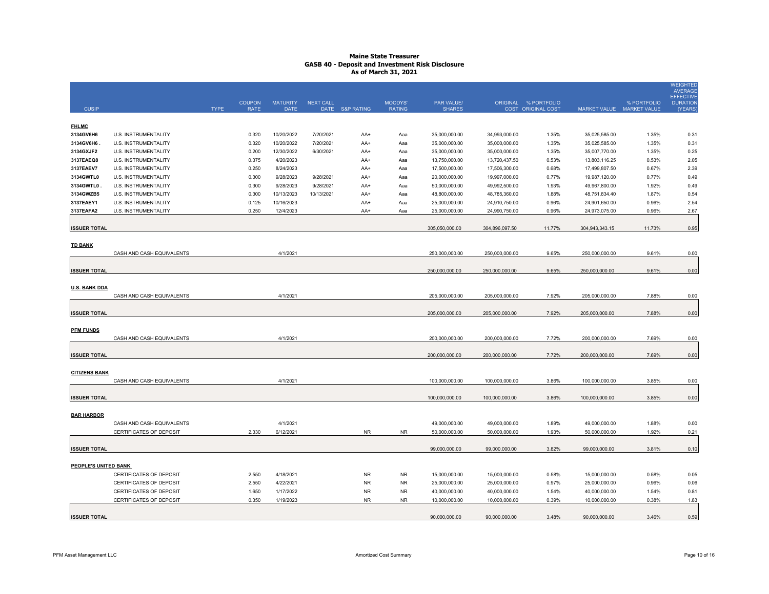| <b>CUSIP</b>         |                             | <b>TYPE</b> | <b>COUPON</b><br><b>RATE</b> | <b>MATURITY</b><br><b>DATE</b> | <b>NEXT CALL</b> | DATE S&P RATING | MOODYS'<br><b>RATING</b> | <b>PAR VALUE/</b><br><b>SHARES</b> |                | ORIGINAL % PORTFOLIO<br>COST ORIGINAL COST | MARKET VALUE MARKET VALUE | % PORTFOLIO | <b>WEIGHTED</b><br><b>AVERAGE</b><br><b>EFFECTIVE</b><br><b>DURATION</b><br>(YEARS) |
|----------------------|-----------------------------|-------------|------------------------------|--------------------------------|------------------|-----------------|--------------------------|------------------------------------|----------------|--------------------------------------------|---------------------------|-------------|-------------------------------------------------------------------------------------|
|                      |                             |             |                              |                                |                  |                 |                          |                                    |                |                                            |                           |             |                                                                                     |
| <b>FHLMC</b>         |                             |             |                              |                                |                  |                 |                          |                                    |                |                                            |                           |             |                                                                                     |
| 3134GV6H6            | U.S. INSTRUMENTALITY        |             | 0.320                        | 10/20/2022                     | 7/20/2021        | AA+             | Aaa                      | 35,000,000.00                      | 34,993,000.00  | 1.35%                                      | 35,025,585.00             | 1.35%       | 0.31                                                                                |
| 3134GV6H6.           | <b>U.S. INSTRUMENTALITY</b> |             | 0.320                        | 10/20/2022                     | 7/20/2021        | AA+             | Aaa                      | 35,000,000.00                      | 35,000,000.00  | 1.35%                                      | 35,025,585.00             | 1.35%       | 0.31                                                                                |
| 3134GXJF2            | U.S. INSTRUMENTALITY        |             | 0.200                        | 12/30/2022                     | 6/30/2021        | AA+             | Aaa                      | 35,000,000.00                      | 35,000,000.00  | 1.35%                                      | 35,007,770.00             | 1.35%       | 0.25                                                                                |
| 3137EAEQ8            | <b>U.S. INSTRUMENTALITY</b> |             | 0.375                        | 4/20/2023                      |                  | AA+             | Aaa                      | 13,750,000.00                      | 13,720,437.50  | 0.53%                                      | 13,803,116.25             | 0.53%       | 2.05                                                                                |
| 3137EAEV7            | U.S. INSTRUMENTALITY        |             | 0.250                        | 8/24/2023                      |                  | AA+             | Aaa                      | 17,500,000.00                      | 17,506,300.00  | 0.68%                                      | 17,499,807.50             | 0.67%       | 2.39                                                                                |
| 3134GWTL0            | U.S. INSTRUMENTALITY        |             | 0.300                        | 9/28/2023                      | 9/28/2021        | AA+             | Aaa                      | 20,000,000.00                      | 19,997,000.00  | 0.77%                                      | 19,987,120.00             | 0.77%       | 0.49                                                                                |
| 3134GWTL0            | <b>U.S. INSTRUMENTALITY</b> |             | 0.300                        | 9/28/2023                      | 9/28/2021        | AA+             | Aaa                      | 50,000,000.00                      | 49,992,500.00  | 1.93%                                      | 49,967,800.00             | 1.92%       | 0.49                                                                                |
| 3134GWZB5            | U.S. INSTRUMENTALITY        |             | 0.300                        | 10/13/2023                     | 10/13/2021       | AA+             | Aaa                      | 48,800,000.00                      | 48,785,360.00  | 1.88%                                      | 48,751,834.40             | 1.87%       | 0.54                                                                                |
| 3137EAEY1            | U.S. INSTRUMENTALITY        |             | 0.125                        | 10/16/2023                     |                  | AA+             | Aaa                      | 25,000,000.00                      | 24,910,750.00  | 0.96%                                      | 24,901,650.00             | 0.96%       | 2.54                                                                                |
| 3137EAFA2            | <b>U.S. INSTRUMENTALITY</b> |             | 0.250                        | 12/4/2023                      |                  | AA+             | Aaa                      | 25,000,000.00                      | 24,990,750.00  | 0.96%                                      | 24,973,075.00             | 0.96%       | 2.67                                                                                |
|                      |                             |             |                              |                                |                  |                 |                          |                                    |                |                                            |                           |             |                                                                                     |
| <b>ISSUER TOTAL</b>  |                             |             |                              |                                |                  |                 |                          | 305,050,000.00                     | 304,896,097.50 | 11.77%                                     | 304,943,343.15            | 11.73%      | 0.95                                                                                |
|                      |                             |             |                              |                                |                  |                 |                          |                                    |                |                                            |                           |             |                                                                                     |
| <b>TD BANK</b>       | CASH AND CASH EQUIVALENTS   |             |                              | 4/1/2021                       |                  |                 |                          | 250,000,000.00                     | 250,000,000.00 | 9.65%                                      | 250,000,000.00            | 9.61%       | 0.00                                                                                |
|                      |                             |             |                              |                                |                  |                 |                          |                                    |                |                                            |                           |             |                                                                                     |
| <b>ISSUER TOTAL</b>  |                             |             |                              |                                |                  |                 |                          | 250,000,000.00                     | 250,000,000.00 | 9.65%                                      | 250,000,000.00            | 9.61%       | 0.00                                                                                |
|                      |                             |             |                              |                                |                  |                 |                          |                                    |                |                                            |                           |             |                                                                                     |
| U.S. BANK DDA        |                             |             |                              |                                |                  |                 |                          |                                    |                |                                            |                           |             |                                                                                     |
|                      | CASH AND CASH EQUIVALENTS   |             |                              | 4/1/2021                       |                  |                 |                          | 205,000,000.00                     | 205,000,000.00 | 7.92%                                      | 205,000,000.00            | 7.88%       | 0.00                                                                                |
|                      |                             |             |                              |                                |                  |                 |                          |                                    |                |                                            |                           |             |                                                                                     |
| <b>ISSUER TOTAL</b>  |                             |             |                              |                                |                  |                 |                          | 205,000,000.00                     | 205,000,000.00 | 7.92%                                      | 205,000,000.00            | 7.88%       | 0.00                                                                                |
|                      |                             |             |                              |                                |                  |                 |                          |                                    |                |                                            |                           |             |                                                                                     |
| <b>PFM FUNDS</b>     |                             |             |                              |                                |                  |                 |                          |                                    |                |                                            |                           |             |                                                                                     |
|                      | CASH AND CASH EQUIVALENTS   |             |                              | 4/1/2021                       |                  |                 |                          | 200,000,000.00                     | 200,000,000.00 | 7.72%                                      | 200,000,000.00            | 7.69%       | 0.00                                                                                |
|                      |                             |             |                              |                                |                  |                 |                          |                                    |                |                                            |                           |             |                                                                                     |
| <b>ISSUER TOTAL</b>  |                             |             |                              |                                |                  |                 |                          | 200,000,000.00                     | 200,000,000.00 | 7.72%                                      | 200,000,000.00            | 7.69%       | 0.00                                                                                |
|                      |                             |             |                              |                                |                  |                 |                          |                                    |                |                                            |                           |             |                                                                                     |
| <b>CITIZENS BANK</b> |                             |             |                              |                                |                  |                 |                          |                                    |                |                                            |                           |             |                                                                                     |
|                      | CASH AND CASH EQUIVALENTS   |             |                              | 4/1/2021                       |                  |                 |                          | 100,000,000.00                     | 100,000,000.00 | 3.86%                                      | 100,000,000.00            | 3.85%       | 0.00                                                                                |
| <b>ISSUER TOTAL</b>  |                             |             |                              |                                |                  |                 |                          | 100,000,000.00                     | 100,000,000.00 | 3.86%                                      | 100,000,000.00            | 3.85%       | 0.00                                                                                |
|                      |                             |             |                              |                                |                  |                 |                          |                                    |                |                                            |                           |             |                                                                                     |
| <b>BAR HARBOR</b>    |                             |             |                              |                                |                  |                 |                          |                                    |                |                                            |                           |             |                                                                                     |
|                      | CASH AND CASH EQUIVALENTS   |             |                              | 4/1/2021                       |                  |                 |                          | 49,000,000.00                      | 49,000,000.00  | 1.89%                                      | 49,000,000.00             | 1.88%       | 0.00                                                                                |
|                      | CERTIFICATES OF DEPOSIT     |             | 2.330                        | 6/12/2021                      |                  | <b>NR</b>       | <b>NR</b>                | 50,000,000.00                      | 50,000,000.00  | 1.93%                                      | 50,000,000.00             | 1.92%       | 0.21                                                                                |
|                      |                             |             |                              |                                |                  |                 |                          |                                    |                |                                            |                           |             |                                                                                     |
| <b>ISSUER TOTAL</b>  |                             |             |                              |                                |                  |                 |                          | 99,000,000.00                      | 99,000,000.00  | 3.82%                                      | 99,000,000.00             | 3.81%       | 0.10                                                                                |
|                      |                             |             |                              |                                |                  |                 |                          |                                    |                |                                            |                           |             |                                                                                     |
| PEOPLE'S UNITED BANK |                             |             |                              |                                |                  |                 |                          |                                    |                |                                            |                           |             |                                                                                     |
|                      | CERTIFICATES OF DEPOSIT     |             | 2.550                        | 4/18/2021                      |                  | <b>NR</b>       | <b>NR</b>                | 15,000,000.00                      | 15,000,000.00  | 0.58%                                      | 15,000,000.00             | 0.58%       | 0.05                                                                                |
|                      | CERTIFICATES OF DEPOSIT     |             | 2.550                        | 4/22/2021                      |                  | <b>NR</b>       | <b>NR</b>                | 25,000,000.00                      | 25,000,000.00  | 0.97%                                      | 25,000,000.00             | 0.96%       | 0.06                                                                                |
|                      | CERTIFICATES OF DEPOSIT     |             | 1.650                        | 1/17/2022                      |                  | <b>NR</b>       | <b>NR</b>                | 40,000,000.00                      | 40,000,000.00  | 1.54%                                      | 40,000,000.00             | 1.54%       | 0.81                                                                                |
|                      | CERTIFICATES OF DEPOSIT     |             | 0.350                        | 1/19/2023                      |                  | <b>NR</b>       | <b>NR</b>                | 10,000,000.00                      | 10,000,000.00  | 0.39%                                      | 10,000,000.00             | 0.38%       | 1.83                                                                                |
|                      |                             |             |                              |                                |                  |                 |                          |                                    |                |                                            |                           |             |                                                                                     |
| <b>ISSUER TOTAL</b>  |                             |             |                              |                                |                  |                 |                          | 90.000.000.00                      | 90.000.000.00  | 3.48%                                      | 90.000.000.00             | 3.46%       | 0.59                                                                                |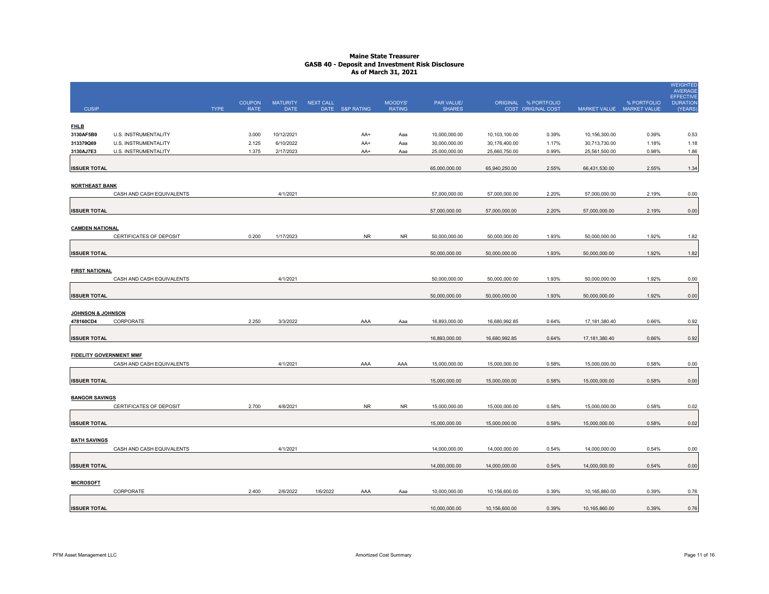|                                |                           |             |                              |                                |                  |                 |                          |                             |               |                                            |                           |             | <b>WEIGHTED</b><br><b>AVERAGE</b><br><b>EFFECTIVE</b> |
|--------------------------------|---------------------------|-------------|------------------------------|--------------------------------|------------------|-----------------|--------------------------|-----------------------------|---------------|--------------------------------------------|---------------------------|-------------|-------------------------------------------------------|
| <b>CUSIP</b>                   |                           | <b>TYPE</b> | <b>COUPON</b><br><b>RATE</b> | <b>MATURITY</b><br><b>DATE</b> | <b>NEXT CALL</b> | DATE S&P RATING | MOODYS'<br><b>RATING</b> | PAR VALUE/<br><b>SHARES</b> |               | ORIGINAL % PORTFOLIO<br>COST ORIGINAL COST | MARKET VALUE MARKET VALUE | % PORTFOLIO | <b>DURATION</b><br>(YEARS)                            |
|                                |                           |             |                              |                                |                  |                 |                          |                             |               |                                            |                           |             |                                                       |
| <b>FHLB</b><br>3130AF5B9       | U.S. INSTRUMENTALITY      |             | 3.000                        | 10/12/2021                     |                  | AA+             | Aaa                      | 10,000,000.00               | 10,103,100.00 | 0.39%                                      | 10,156,300.00             | 0.39%       |                                                       |
| 313379Q69                      | U.S. INSTRUMENTALITY      |             | 2.125                        | 6/10/2022                      |                  | AA+             | Aaa                      | 30,000,000.00               | 30,176,400.00 | 1.17%                                      | 30,713,730.00             | 1.18%       | 0.53<br>1.18                                          |
| 3130AJ7E3                      | U.S. INSTRUMENTALITY      |             | 1.375                        | 2/17/2023                      |                  | AA+             | Aaa                      | 25,000,000.00               | 25,660,750.00 | 0.99%                                      | 25,561,500.00             | 0.98%       | 1.86                                                  |
| <b>ISSUER TOTAL</b>            |                           |             |                              |                                |                  |                 |                          | 65,000,000.00               | 65,940,250.00 | 2.55%                                      | 66,431,530.00             | 2.55%       | 1.34                                                  |
| <b>NORTHEAST BANK</b>          |                           |             |                              |                                |                  |                 |                          |                             |               |                                            |                           |             |                                                       |
|                                | CASH AND CASH EQUIVALENTS |             |                              | 4/1/2021                       |                  |                 |                          | 57,000,000.00               | 57,000,000.00 | 2.20%                                      | 57,000,000.00             | 2.19%       | 0.00                                                  |
| <b>ISSUER TOTAL</b>            |                           |             |                              |                                |                  |                 |                          | 57,000,000.00               | 57,000,000.00 | 2.20%                                      | 57,000,000.00             | 2.19%       | 0.00                                                  |
| <b>CAMDEN NATIONAL</b>         |                           |             |                              |                                |                  |                 |                          |                             |               |                                            |                           |             |                                                       |
|                                | CERTIFICATES OF DEPOSIT   |             | 0.200                        | 1/17/2023                      |                  | <b>NR</b>       | ${\sf NR}$               | 50,000,000.00               | 50,000,000.00 | 1.93%                                      | 50,000,000.00             | 1.92%       | 1.82                                                  |
| <b>ISSUER TOTAL</b>            |                           |             |                              |                                |                  |                 |                          | 50,000,000.00               | 50,000,000.00 | 1.93%                                      | 50,000,000.00             | 1.92%       | 1.82                                                  |
| <b>FIRST NATIONAL</b>          |                           |             |                              |                                |                  |                 |                          |                             |               |                                            |                           |             |                                                       |
|                                | CASH AND CASH EQUIVALENTS |             |                              | 4/1/2021                       |                  |                 |                          | 50,000,000.00               | 50,000,000.00 | 1.93%                                      | 50,000,000.00             | 1.92%       | 0.00                                                  |
| <b>ISSUER TOTAL</b>            |                           |             |                              |                                |                  |                 |                          | 50,000,000.00               | 50,000,000.00 | 1.93%                                      | 50,000,000.00             | 1.92%       | 0.00                                                  |
| <b>JOHNSON &amp; JOHNSON</b>   |                           |             |                              |                                |                  |                 |                          |                             |               |                                            |                           |             |                                                       |
| 478160CD4                      | CORPORATE                 |             | 2.250                        | 3/3/2022                       |                  | AAA             | Aaa                      | 16,893,000.00               | 16,680,992.85 | 0.64%                                      | 17,181,380.40             | 0.66%       | 0.92                                                  |
| <b>ISSUER TOTAL</b>            |                           |             |                              |                                |                  |                 |                          | 16,893,000.00               | 16,680,992.85 | 0.64%                                      | 17, 181, 380.40           | 0.66%       | 0.92                                                  |
| <b>FIDELITY GOVERNMENT MMF</b> |                           |             |                              |                                |                  |                 |                          |                             |               |                                            |                           |             |                                                       |
|                                | CASH AND CASH EQUIVALENTS |             |                              | 4/1/2021                       |                  | AAA             | AAA                      | 15,000,000.00               | 15,000,000.00 | 0.58%                                      | 15,000,000.00             | 0.58%       | 0.00                                                  |
| <b>ISSUER TOTAL</b>            |                           |             |                              |                                |                  |                 |                          | 15,000,000.00               | 15,000,000.00 | 0.58%                                      | 15,000,000.00             | 0.58%       | 0.00                                                  |
| <b>BANGOR SAVINGS</b>          |                           |             |                              |                                |                  |                 |                          |                             |               |                                            |                           |             |                                                       |
|                                | CERTIFICATES OF DEPOSIT   |             | 2.700                        | 4/8/2021                       |                  | <b>NR</b>       | <b>NR</b>                | 15,000,000.00               | 15,000,000.00 | 0.58%                                      | 15,000,000.00             | 0.58%       | 0.02                                                  |
| <b>ISSUER TOTAL</b>            |                           |             |                              |                                |                  |                 |                          | 15,000,000.00               | 15,000,000.00 | 0.58%                                      | 15,000,000.00             | 0.58%       | 0.02                                                  |
| <b>BATH SAVINGS</b>            |                           |             |                              |                                |                  |                 |                          |                             |               |                                            |                           |             |                                                       |
|                                | CASH AND CASH EQUIVALENTS |             |                              | 4/1/2021                       |                  |                 |                          | 14,000,000.00               | 14,000,000.00 | 0.54%                                      | 14,000,000.00             | 0.54%       | 0.00                                                  |
| <b>ISSUER TOTAL</b>            |                           |             |                              |                                |                  |                 |                          | 14,000,000.00               | 14,000,000.00 | 0.54%                                      | 14,000,000.00             | 0.54%       | 0.00                                                  |
| <b>MICROSOFT</b>               |                           |             |                              |                                |                  |                 |                          |                             |               |                                            |                           |             |                                                       |
|                                | CORPORATE                 |             | 2.400                        | 2/6/2022                       | 1/6/2022         | AAA             | Aaa                      | 10,000,000.00               | 10,156,600.00 | 0.39%                                      | 10,165,860.00             | 0.39%       | 0.76                                                  |
| <b>ISSUER TOTAL</b>            |                           |             |                              |                                |                  |                 |                          | 10,000,000.00               | 10,156,600.00 | 0.39%                                      | 10,165,860.00             | 0.39%       | 0.76                                                  |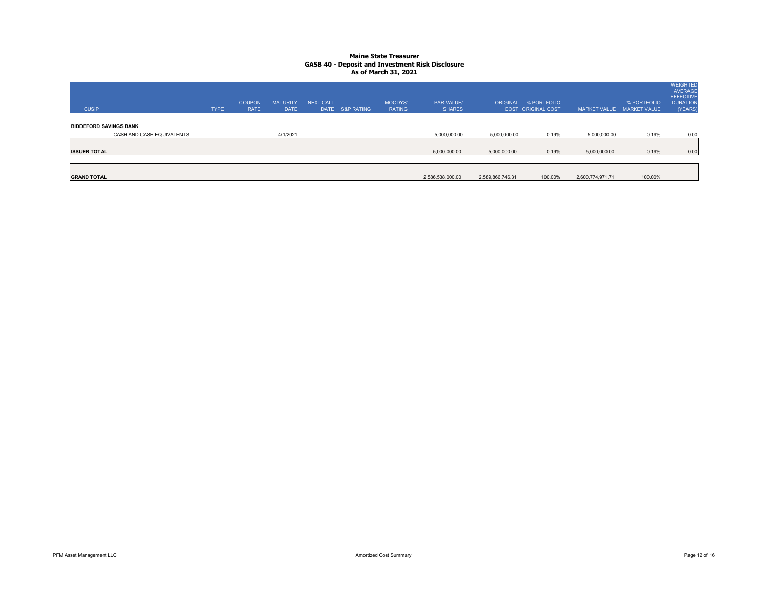| <b>CUSIP</b>                                               | <b>TYPE</b> | <b>COUPON</b><br><b>RATE</b> | <b>MATURITY</b><br><b>DATE</b> | <b>NEXT CALL</b> | DATE S&P RATING | <b>MOODYS'</b><br><b>RATING</b> | <b>PAR VALUE/</b><br><b>SHARES</b> |                  | ORIGINAL % PORTFOLIO<br><b>COST ORIGINAL COST</b> | MARKET VALUE MARKET VALUE | % PORTFOLIO | <b>WEIGHTED</b><br><b>AVERAGE</b><br><b>EFFECTIVE</b><br><b>DURATION</b><br>(YEARS) |
|------------------------------------------------------------|-------------|------------------------------|--------------------------------|------------------|-----------------|---------------------------------|------------------------------------|------------------|---------------------------------------------------|---------------------------|-------------|-------------------------------------------------------------------------------------|
| <b>BIDDEFORD SAVINGS BANK</b><br>CASH AND CASH EQUIVALENTS |             |                              | 4/1/2021                       |                  |                 |                                 | 5,000,000.00                       | 5,000,000.00     | 0.19%                                             | 5,000,000.00              | 0.19%       | 0.00                                                                                |
| <b>ISSUER TOTAL</b>                                        |             |                              |                                |                  |                 |                                 | 5,000,000.00                       | 5,000,000.00     | 0.19%                                             | 5,000,000.00              | 0.19%       | 0.00                                                                                |
| <b>GRAND TOTAL</b>                                         |             |                              |                                |                  |                 |                                 | 2,586,538,000.00                   | 2,589,866,746.31 | 100.00%                                           | 2,600,774,971.71          | 100.00%     |                                                                                     |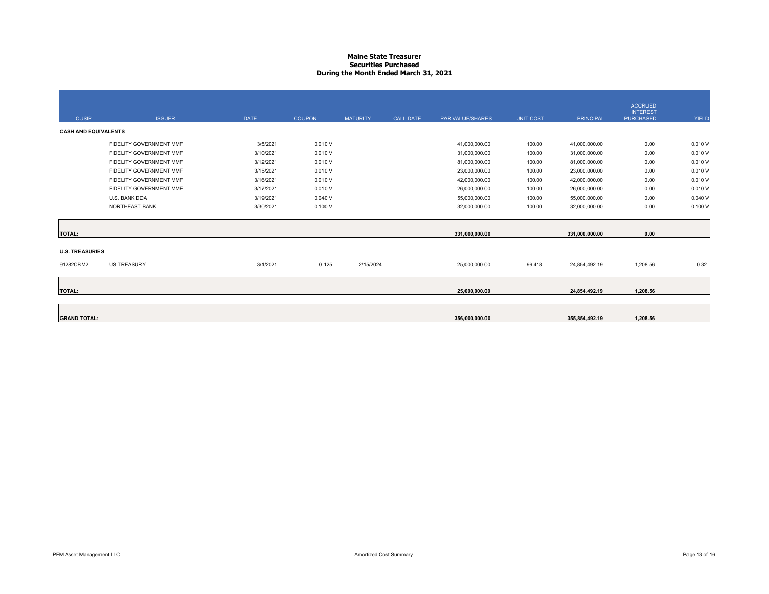#### **Maine State Treasurer Securities PurchasedDuring the Month Ended March 31, 2021**

|                             |                         |             |               |                 |                  |                  |                  |                  | <b>ACCRUED</b>                      |        |
|-----------------------------|-------------------------|-------------|---------------|-----------------|------------------|------------------|------------------|------------------|-------------------------------------|--------|
| <b>CUSIP</b>                | <b>ISSUER</b>           | <b>DATE</b> | <b>COUPON</b> | <b>MATURITY</b> | <b>CALL DATE</b> | PAR VALUE/SHARES | <b>UNIT COST</b> | <b>PRINCIPAL</b> | <b>INTEREST</b><br><b>PURCHASED</b> | YIELD  |
| <b>CASH AND EQUIVALENTS</b> |                         |             |               |                 |                  |                  |                  |                  |                                     |        |
|                             | FIDELITY GOVERNMENT MMF | 3/5/2021    | 0.010V        |                 |                  | 41,000,000.00    | 100.00           | 41,000,000.00    | 0.00                                | 0.010V |
|                             | FIDELITY GOVERNMENT MMF | 3/10/2021   | 0.010V        |                 |                  | 31,000,000.00    | 100.00           | 31,000,000.00    | 0.00                                | 0.010V |
|                             | FIDELITY GOVERNMENT MMF | 3/12/2021   | 0.010V        |                 |                  | 81,000,000.00    | 100.00           | 81,000,000.00    | 0.00                                | 0.010V |
|                             | FIDELITY GOVERNMENT MMF | 3/15/2021   | 0.010V        |                 |                  | 23,000,000.00    | 100.00           | 23,000,000.00    | 0.00                                | 0.010V |
|                             | FIDELITY GOVERNMENT MMF | 3/16/2021   | 0.010V        |                 |                  | 42,000,000.00    | 100.00           | 42,000,000.00    | 0.00                                | 0.010V |
|                             | FIDELITY GOVERNMENT MMF | 3/17/2021   | 0.010V        |                 |                  | 26,000,000.00    | 100.00           | 26,000,000.00    | 0.00                                | 0.010V |
|                             | U.S. BANK DDA           | 3/19/2021   | 0.040V        |                 |                  | 55,000,000.00    | 100.00           | 55,000,000.00    | 0.00                                | 0.040V |
|                             | <b>NORTHEAST BANK</b>   | 3/30/2021   | 0.100V        |                 |                  | 32,000,000.00    | 100.00           | 32,000,000.00    | 0.00                                | 0.100V |
| <b>TOTAL:</b>               |                         |             |               |                 |                  | 331,000,000.00   |                  | 331,000,000.00   | 0.00                                |        |
|                             |                         |             |               |                 |                  |                  |                  |                  |                                     |        |
| <b>U.S. TREASURIES</b>      |                         |             |               |                 |                  |                  |                  |                  |                                     |        |
| 91282CBM2                   | <b>US TREASURY</b>      | 3/1/2021    | 0.125         | 2/15/2024       |                  | 25,000,000.00    | 99.418           | 24,854,492.19    | 1,208.56                            | 0.32   |
|                             |                         |             |               |                 |                  |                  |                  |                  |                                     |        |
| <b>TOTAL:</b>               |                         |             |               |                 |                  | 25.000.000.00    |                  | 24,854,492.19    | 1.208.56                            |        |
|                             |                         |             |               |                 |                  |                  |                  |                  |                                     |        |
|                             |                         |             |               |                 |                  |                  |                  |                  |                                     |        |
| <b>GRAND TOTAL:</b>         |                         |             |               |                 |                  | 356,000,000.00   |                  | 355,854,492.19   | 1.208.56                            |        |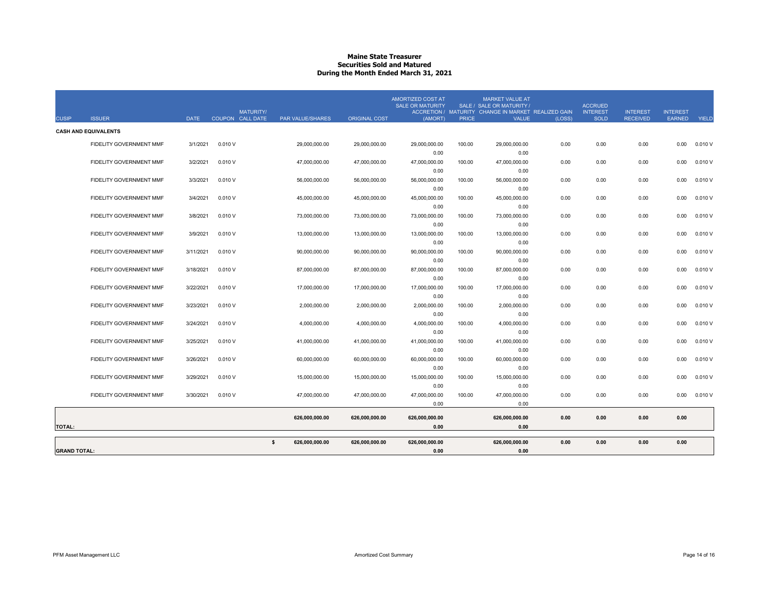#### **Maine State Treasurer Securities Sold and MaturedDuring the Month Ended March 31, 2021**

| <b>TOTAL:</b> |                                                               |                        |                  |                  | 626,000,000.00                | 626,000,000.00                | 0.00<br>626,000,000.00<br>0.00                                 |                  | 0.00<br>626,000,000.00<br>0.00                                                                                             | 0.00         | 0.00                                             | 0.00                               | 0.00                             |                  |
|---------------|---------------------------------------------------------------|------------------------|------------------|------------------|-------------------------------|-------------------------------|----------------------------------------------------------------|------------------|----------------------------------------------------------------------------------------------------------------------------|--------------|--------------------------------------------------|------------------------------------|----------------------------------|------------------|
|               | FIDELITY GOVERNMENT MMF                                       | 3/30/2021              | 0.010V           |                  | 47,000,000.00                 | 47,000,000.00                 | 0.00<br>47,000,000.00                                          | 100.00           | 0.00<br>47,000,000.00                                                                                                      | 0.00         | 0.00                                             | 0.00                               | 0.00                             | 0.010V           |
|               | FIDELITY GOVERNMENT MMF                                       | 3/29/2021              | 0.010V           |                  | 15,000,000.00                 | 15,000,000.00                 | 0.00<br>15,000,000.00                                          | 100.00           | 0.00<br>15,000,000.00                                                                                                      | 0.00         | 0.00                                             | 0.00                               | 0.00                             | 0.010V           |
|               | FIDELITY GOVERNMENT MMF                                       | 3/26/2021              | 0.010V           |                  | 60,000,000.00                 | 60,000,000.00                 | 0.00<br>60,000,000.00                                          | 100.00           | 0.00<br>60,000,000.00                                                                                                      | 0.00         | 0.00                                             | 0.00                               | 0.00                             | 0.010V           |
|               | <b>FIDELITY GOVERNMENT MMF</b>                                | 3/25/2021              | 0.010V           |                  | 41.000.000.00                 | 41,000,000.00                 | 0.00<br>41,000,000.00                                          | 100.00           | 0.00<br>41,000,000.00                                                                                                      | 0.00         | 0.00                                             | 0.00                               | 0.00                             | 0.010V           |
|               | FIDELITY GOVERNMENT MMF                                       | 3/24/2021              | 0.010V           |                  | 4,000,000.00                  | 4,000,000.00                  | 0.00<br>4,000,000.00                                           | 100.00           | 0.00<br>4,000,000.00                                                                                                       | 0.00         | 0.00                                             | 0.00                               | 0.00                             | 0.010V           |
|               | <b>FIDELITY GOVERNMENT MMF</b><br>FIDELITY GOVERNMENT MMF     | 3/22/2021<br>3/23/2021 | 0.010V<br>0.010V |                  | 17.000.000.00<br>2,000,000.00 | 17.000.000.00<br>2,000,000.00 | 17.000.000.00<br>0.00<br>2,000,000.00                          | 100.00<br>100.00 | 17.000.000.00<br>0.00<br>2,000,000.00                                                                                      | 0.00<br>0.00 | 0.00<br>0.00                                     | 0.00<br>0.00                       | 0.00<br>0.00                     | 0.010V<br>0.010V |
|               | <b>FIDELITY GOVERNMENT MMF</b>                                | 3/18/2021              | 0.010V           |                  | 87,000,000.00                 | 87,000,000.00                 | 87,000,000.00<br>0.00                                          | 100.00           | 87,000,000.00<br>0.00                                                                                                      | 0.00         | 0.00                                             | 0.00                               | 0.00                             | 0.010V           |
|               | FIDELITY GOVERNMENT MMF                                       | 3/11/2021              | 0.010V           |                  | 90,000,000.00                 | 90,000,000.00                 | 90,000,000.00<br>0.00                                          | 100.00           | 90,000,000.00<br>0.00                                                                                                      | 0.00         | 0.00                                             | 0.00                               | 0.00                             | 0.010V           |
|               | FIDELITY GOVERNMENT MMF                                       | 3/9/2021               | 0.010V           |                  | 13,000,000.00                 | 13,000,000.00                 | 0.00<br>13,000,000.00<br>0.00                                  | 100.00           | 0.00<br>13,000,000.00<br>0.00                                                                                              | 0.00         | 0.00                                             | 0.00                               | 0.00                             | 0.010V           |
|               | FIDELITY GOVERNMENT MMF                                       | 3/8/2021               | 0.010V           |                  | 73,000,000.00                 | 73,000,000.00                 | 0.00<br>73,000,000.00                                          | 100.00           | 0.00<br>73,000,000.00                                                                                                      | 0.00         | 0.00                                             | 0.00                               | 0.00                             | 0.010V           |
|               | FIDELITY GOVERNMENT MMF                                       | 3/4/2021               | 0.010V           |                  | 45,000,000.00                 | 45,000,000.00                 | 0.00<br>45,000,000.00                                          | 100.00           | 0.00<br>45,000,000.00                                                                                                      | 0.00         | 0.00                                             | 0.00                               | 0.00                             | 0.010V           |
|               | FIDELITY GOVERNMENT MMF                                       | 3/3/2021               | 0.010V           |                  | 56,000,000.00                 | 56,000,000.00                 | 0.00<br>56,000,000.00                                          | 100.00           | 0.00<br>56,000,000.00                                                                                                      | 0.00         | 0.00                                             | 0.00                               | 0.00                             | 0.010V           |
|               | FIDELITY GOVERNMENT MMF                                       | 3/2/2021               | 0.010V           |                  | 47,000,000.00                 | 47,000,000.00                 | 0.00<br>47,000,000.00                                          | 100.00           | 0.00<br>47,000,000.00                                                                                                      | 0.00         | 0.00                                             | 0.00                               | 0.00                             | 0.010V           |
|               | <b>CASH AND EQUIVALENTS</b><br><b>FIDELITY GOVERNMENT MMF</b> | 3/1/2021               | 0.010V           |                  | 29,000,000.00                 | 29,000,000.00                 | 29,000,000.00                                                  | 100.00           | 29,000,000.00                                                                                                              | 0.00         | 0.00                                             | 0.00                               | 0.00                             | 0.010V           |
| <b>CUSIP</b>  | <b>ISSUER</b>                                                 | <b>DATE</b>            | COUPON CALL DATE | <b>MATURITY/</b> | PAR VALUE/SHARES              | <b>ORIGINAL COST</b>          | <b>AMORTIZED COST AT</b><br><b>SALE OR MATURITY</b><br>(AMORT) | <b>PRICE</b>     | <b>MARKET VALUE AT</b><br>SALE / SALE OR MATURITY /<br>ACCRETION / MATURITY CHANGE IN MARKET REALIZED GAIN<br><b>VALUE</b> | (LOSS)       | <b>ACCRUED</b><br><b>INTEREST</b><br><b>SOLD</b> | <b>INTEREST</b><br><b>RECEIVED</b> | <b>INTEREST</b><br><b>EARNED</b> | <b>YIELD</b>     |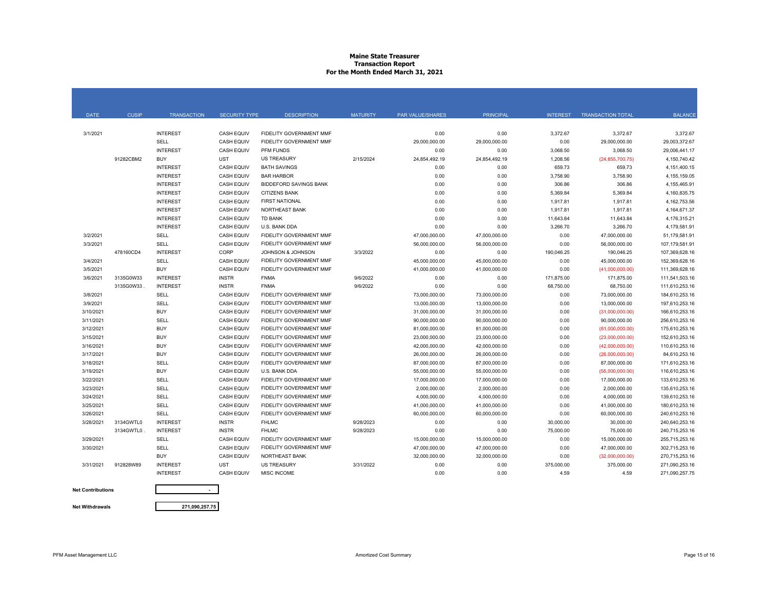### **Maine State Treasurer Transaction Report For the Month Ended March 31, 2021**

| <b>DATE</b> | <b>CUSIP</b> | <b>TRANSACTION</b> | <b>SECURITY TYPE</b> | <b>DESCRIPTION</b>             | <b>MATURITY</b> | <b>PAR VALUE/SHARES</b> | <b>PRINCIPAL</b> | <b>INTEREST</b> | <b>TRANSACTION TOTAL</b> | <b>BALANCE</b> |
|-------------|--------------|--------------------|----------------------|--------------------------------|-----------------|-------------------------|------------------|-----------------|--------------------------|----------------|
|             |              |                    |                      |                                |                 |                         |                  |                 |                          |                |
| 3/1/2021    |              | <b>INTEREST</b>    | CASH EQUIV           | FIDELITY GOVERNMENT MMF        |                 | 0.00                    | 0.00             | 3,372.67        | 3,372.67                 | 3,372.67       |
|             |              | SELL               | <b>CASH EQUIV</b>    | FIDELITY GOVERNMENT MMF        |                 | 29,000,000.00           | 29,000,000.00    | 0.00            | 29,000,000.00            | 29.003.372.67  |
|             |              | <b>INTEREST</b>    | <b>CASH EQUIV</b>    | PFM FUNDS                      |                 | 0.00                    | 0.00             | 3,068.50        | 3,068.50                 | 29,006,441.17  |
|             | 91282CBM2    | <b>BUY</b>         | UST                  | <b>US TREASURY</b>             | 2/15/2024       | 24,854,492.19           | 24,854,492.19    | 1,208.56        | (24, 855, 700.75)        | 4,150,740.42   |
|             |              | <b>INTEREST</b>    | <b>CASH EQUIV</b>    | <b>BATH SAVINGS</b>            |                 | 0.00                    | 0.00             | 659.73          | 659.73                   | 4.151.400.15   |
|             |              | <b>INTEREST</b>    | <b>CASH EQUIV</b>    | <b>BAR HARBOR</b>              |                 | 0.00                    | 0.00             | 3,758.90        | 3,758.90                 | 4,155,159.05   |
|             |              | <b>INTEREST</b>    | <b>CASH EQUIV</b>    | <b>BIDDEFORD SAVINGS BANK</b>  |                 | 0.00                    | 0.00             | 306.86          | 306.86                   | 4,155,465.91   |
|             |              | <b>INTEREST</b>    | <b>CASH EQUIV</b>    | <b>CITIZENS BANK</b>           |                 | 0.00                    | 0.00             | 5,369.84        | 5,369.84                 | 4,160,835.75   |
|             |              | <b>INTEREST</b>    | <b>CASH EQUIV</b>    | <b>FIRST NATIONAL</b>          |                 | 0.00                    | 0.00             | 1,917.81        | 1,917.81                 | 4,162,753.56   |
|             |              | <b>INTEREST</b>    | <b>CASH EQUIV</b>    | <b>NORTHEAST BANK</b>          |                 | 0.00                    | 0.00             | 1,917.81        | 1,917.81                 | 4,164,671.37   |
|             |              | <b>INTEREST</b>    | <b>CASH EQUIV</b>    | <b>TD BANK</b>                 |                 | 0.00                    | 0.00             | 11,643.84       | 11,643.84                | 4,176,315.21   |
|             |              | <b>INTEREST</b>    | <b>CASH EQUIV</b>    | U.S. BANK DDA                  |                 | 0.00                    | 0.00             | 3,266.70        | 3,266.70                 | 4,179,581.91   |
| 3/2/2021    |              | <b>SELL</b>        | <b>CASH EQUIV</b>    | <b>FIDELITY GOVERNMENT MMF</b> |                 | 47,000,000.00           | 47,000,000.00    | 0.00            | 47,000,000.00            | 51,179,581.91  |
| 3/3/2021    |              | <b>SELL</b>        | <b>CASH EQUIV</b>    | FIDELITY GOVERNMENT MMF        |                 | 56,000,000.00           | 56,000,000.00    | 0.00            | 56,000,000.00            | 107,179,581.91 |
|             | 478160CD4    | <b>INTEREST</b>    | CORP                 | JOHNSON & JOHNSON              | 3/3/2022        | 0.00                    | 0.00             | 190,046.25      | 190,046.25               | 107,369,628.16 |
| 3/4/2021    |              | SELL               | <b>CASH EQUIV</b>    | FIDELITY GOVERNMENT MMF        |                 | 45,000,000.00           | 45,000,000.00    | 0.00            | 45,000,000.00            | 152,369,628.16 |
| 3/5/2021    |              | <b>BUY</b>         | <b>CASH EQUIV</b>    | FIDELITY GOVERNMENT MMF        |                 | 41,000,000.00           | 41,000,000.00    | 0.00            | (41,000,000.00)          | 111,369,628.16 |
| 3/6/2021    | 3135G0W33    | <b>INTEREST</b>    | <b>INSTR</b>         | <b>FNMA</b>                    | 9/6/2022        | 0.00                    | 0.00             | 171,875.00      | 171,875.00               | 111,541,503.16 |
|             | 3135G0W33    | <b>INTEREST</b>    | <b>INSTR</b>         | <b>FNMA</b>                    | 9/6/2022        | 0.00                    | 0.00             | 68,750.00       | 68,750.00                | 111,610,253.16 |
| 3/8/2021    |              | SELL               | <b>CASH EQUIV</b>    | FIDELITY GOVERNMENT MMF        |                 | 73,000,000.00           | 73,000,000.00    | 0.00            | 73,000,000.00            | 184,610,253.16 |
| 3/9/2021    |              | <b>SELL</b>        | <b>CASH EQUIV</b>    | FIDELITY GOVERNMENT MMF        |                 | 13,000,000.00           | 13,000,000.00    | 0.00            | 13,000,000.00            | 197,610,253.16 |
| 3/10/2021   |              | <b>BUY</b>         | <b>CASH EQUIV</b>    | FIDELITY GOVERNMENT MMF        |                 | 31.000.000.00           | 31.000.000.00    | 0.00            | (31,000,000.00)          | 166.610.253.16 |
| 3/11/2021   |              | SELL               | <b>CASH EQUIV</b>    | <b>FIDELITY GOVERNMENT MMF</b> |                 | 90.000.000.00           | 90,000,000.00    | 0.00            | 90,000,000.00            | 256,610,253.16 |
| 3/12/2021   |              | <b>BUY</b>         | <b>CASH EQUIV</b>    | FIDELITY GOVERNMENT MMF        |                 | 81,000,000.00           | 81,000,000.00    | 0.00            | (81,000,000.00)          | 175,610,253.16 |
| 3/15/2021   |              | <b>BUY</b>         | <b>CASH EQUIV</b>    | <b>FIDELITY GOVERNMENT MMF</b> |                 | 23,000,000.00           | 23,000,000.00    | 0.00            | (23,000,000.00)          | 152,610,253.16 |
| 3/16/2021   |              | <b>BUY</b>         | <b>CASH EQUIV</b>    | FIDELITY GOVERNMENT MMF        |                 | 42.000.000.00           | 42.000.000.00    | 0.00            | (42,000,000.00)          | 110,610,253.16 |
| 3/17/2021   |              | <b>BUY</b>         | <b>CASH EQUIV</b>    | FIDELITY GOVERNMENT MMF        |                 | 26,000,000.00           | 26,000,000.00    | 0.00            | (26,000,000.00)          | 84,610,253.16  |
| 3/18/2021   |              | SELL               | <b>CASH EQUIV</b>    | FIDELITY GOVERNMENT MMF        |                 | 87,000,000.00           | 87,000,000.00    | 0.00            | 87,000,000.00            | 171,610,253.16 |
| 3/19/2021   |              | <b>BUY</b>         | <b>CASH EQUIV</b>    | U.S. BANK DDA                  |                 | 55,000,000.00           | 55,000,000.00    | 0.00            | (55,000,000.00)          | 116,610,253.16 |
| 3/22/2021   |              | SELL               | <b>CASH EQUIV</b>    | FIDELITY GOVERNMENT MMF        |                 | 17,000,000.00           | 17,000,000.00    | 0.00            | 17,000,000.00            | 133,610,253.16 |
| 3/23/2021   |              | <b>SELL</b>        | <b>CASH EQUIV</b>    | <b>FIDELITY GOVERNMENT MMF</b> |                 | 2,000,000.00            | 2,000,000.00     | 0.00            | 2,000,000.00             | 135,610,253.16 |
| 3/24/2021   |              | SELL               | <b>CASH EQUIV</b>    | <b>FIDELITY GOVERNMENT MMF</b> |                 | 4,000,000.00            | 4,000,000.00     | 0.00            | 4,000,000.00             | 139,610,253.16 |
| 3/25/2021   |              | SELL               | <b>CASH EQUIV</b>    | FIDELITY GOVERNMENT MMF        |                 | 41,000,000.00           | 41,000,000.00    | 0.00            | 41,000,000.00            | 180,610,253.16 |
| 3/26/2021   |              | <b>SELL</b>        | <b>CASH EQUIV</b>    | <b>FIDELITY GOVERNMENT MMF</b> |                 | 60,000,000.00           | 60,000,000.00    | 0.00            | 60,000,000.00            | 240,610,253.16 |
| 3/28/2021   | 3134GWTL0    | <b>INTEREST</b>    | <b>INSTR</b>         | <b>FHLMC</b>                   | 9/28/2023       | 0.00                    | 0.00             | 30,000.00       | 30,000.00                | 240,640,253.16 |
|             | 3134GWTL0    | <b>INTEREST</b>    | <b>INSTR</b>         | <b>FHLMC</b>                   | 9/28/2023       | 0.00                    | 0.00             | 75,000.00       | 75,000.00                | 240,715,253.16 |
| 3/29/2021   |              | SELL               | <b>CASH EQUIV</b>    | FIDELITY GOVERNMENT MMF        |                 | 15,000,000.00           | 15,000,000.00    | 0.00            | 15,000,000.00            | 255,715,253.16 |
| 3/30/2021   |              | SELL               | <b>CASH EQUIV</b>    | <b>FIDELITY GOVERNMENT MMF</b> |                 | 47,000,000.00           | 47,000,000.00    | 0.00            | 47,000,000.00            | 302,715,253.16 |
|             |              | <b>BUY</b>         | <b>CASH EQUIV</b>    | <b>NORTHEAST BANK</b>          |                 | 32,000,000.00           | 32,000,000.00    | 0.00            | (32,000,000.00)          | 270.715.253.16 |
| 3/31/2021   | 912828W89    | <b>INTEREST</b>    | <b>UST</b>           | <b>US TREASURY</b>             | 3/31/2022       | 0.00                    | 0.00             | 375,000.00      | 375,000.00               | 271,090,253.16 |
|             |              | <b>INTEREST</b>    | <b>CASH EQUIV</b>    | <b>MISC INCOME</b>             |                 | 0.00                    | 0.00             | 4.59            | 4.59                     | 271,090,257.75 |
|             |              |                    |                      |                                |                 |                         |                  |                 |                          |                |

**Net Contributions Net Withdrawals**

**271,090,257.75**

**-**